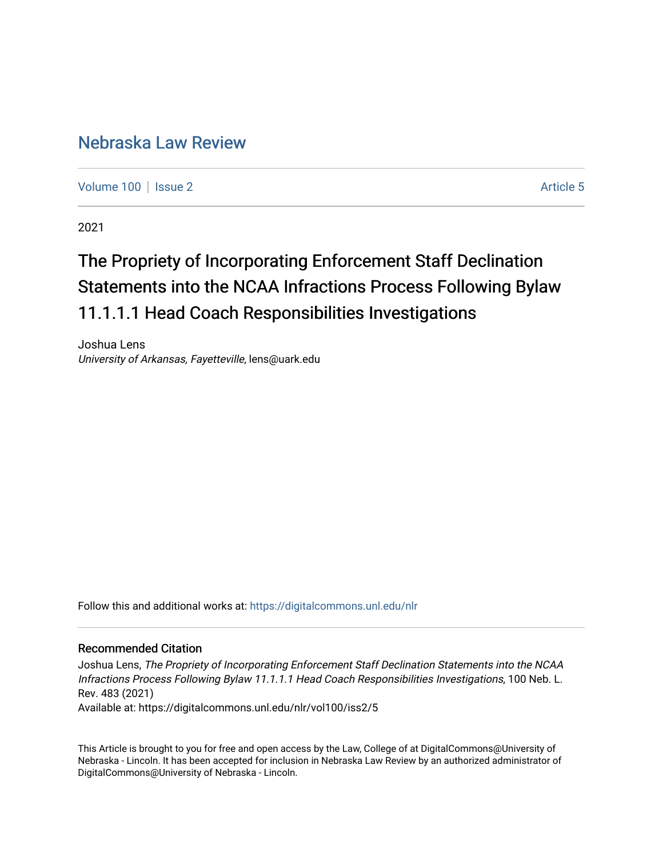# [Nebraska Law Review](https://digitalcommons.unl.edu/nlr)

[Volume 100](https://digitalcommons.unl.edu/nlr/vol100) | [Issue 2](https://digitalcommons.unl.edu/nlr/vol100/iss2) Article 5

2021

# The Propriety of Incorporating Enforcement Staff Declination Statements into the NCAA Infractions Process Following Bylaw 11.1.1.1 Head Coach Responsibilities Investigations

Joshua Lens University of Arkansas, Fayetteville, lens@uark.edu

Follow this and additional works at: [https://digitalcommons.unl.edu/nlr](https://digitalcommons.unl.edu/nlr?utm_source=digitalcommons.unl.edu%2Fnlr%2Fvol100%2Fiss2%2F5&utm_medium=PDF&utm_campaign=PDFCoverPages) 

# Recommended Citation

Joshua Lens, The Propriety of Incorporating Enforcement Staff Declination Statements into the NCAA Infractions Process Following Bylaw 11.1.1.1 Head Coach Responsibilities Investigations, 100 Neb. L. Rev. 483 (2021)

Available at: https://digitalcommons.unl.edu/nlr/vol100/iss2/5

This Article is brought to you for free and open access by the Law, College of at DigitalCommons@University of Nebraska - Lincoln. It has been accepted for inclusion in Nebraska Law Review by an authorized administrator of DigitalCommons@University of Nebraska - Lincoln.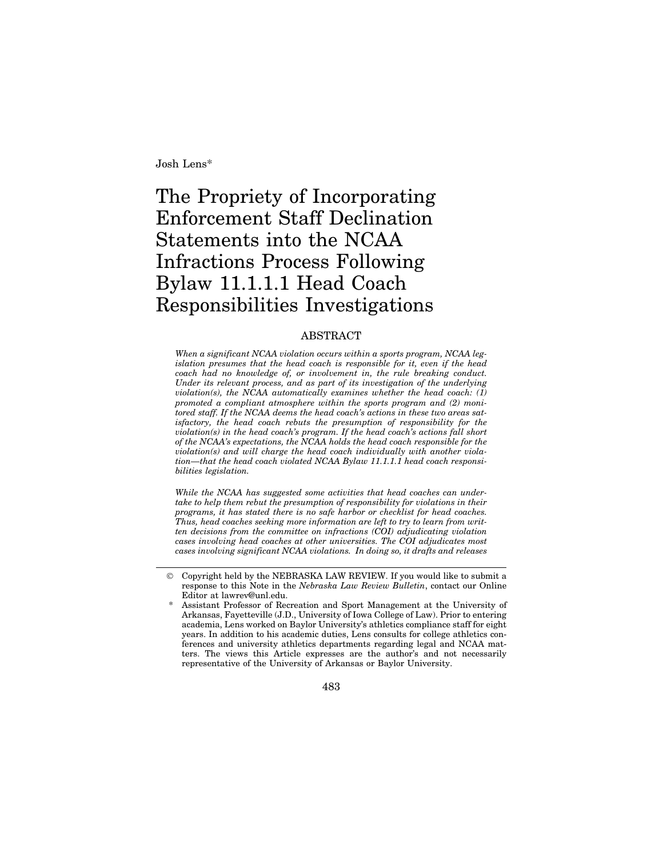Josh Lens\*

# The Propriety of Incorporating Enforcement Staff Declination Statements into the NCAA Infractions Process Following Bylaw 11.1.1.1 Head Coach Responsibilities Investigations

# ABSTRACT

*When a significant NCAA violation occurs within a sports program, NCAA legislation presumes that the head coach is responsible for it, even if the head coach had no knowledge of, or involvement in, the rule breaking conduct. Under its relevant process, and as part of its investigation of the underlying violation(s), the NCAA automatically examines whether the head coach: (1) promoted a compliant atmosphere within the sports program and (2) monitored staff. If the NCAA deems the head coach's actions in these two areas satisfactory, the head coach rebuts the presumption of responsibility for the violation(s) in the head coach's program. If the head coach's actions fall short of the NCAA's expectations, the NCAA holds the head coach responsible for the violation(s) and will charge the head coach individually with another violation—that the head coach violated NCAA Bylaw 11.1.1.1 head coach responsibilities legislation.*

*While the NCAA has suggested some activities that head coaches can undertake to help them rebut the presumption of responsibility for violations in their programs, it has stated there is no safe harbor or checklist for head coaches. Thus, head coaches seeking more information are left to try to learn from written decisions from the committee on infractions (COI) adjudicating violation cases involving head coaches at other universities. The COI adjudicates most cases involving significant NCAA violations. In doing so, it drafts and releases*

483

<sup>©</sup> Copyright held by the NEBRASKA LAW REVIEW. If you would like to submit a response to this Note in the *Nebraska Law Review Bulletin*, contact our Online Editor at lawrev@unl.edu.

Assistant Professor of Recreation and Sport Management at the University of Arkansas, Fayetteville (J.D., University of Iowa College of Law). Prior to entering academia, Lens worked on Baylor University's athletics compliance staff for eight years. In addition to his academic duties, Lens consults for college athletics conferences and university athletics departments regarding legal and NCAA matters. The views this Article expresses are the author's and not necessarily representative of the University of Arkansas or Baylor University.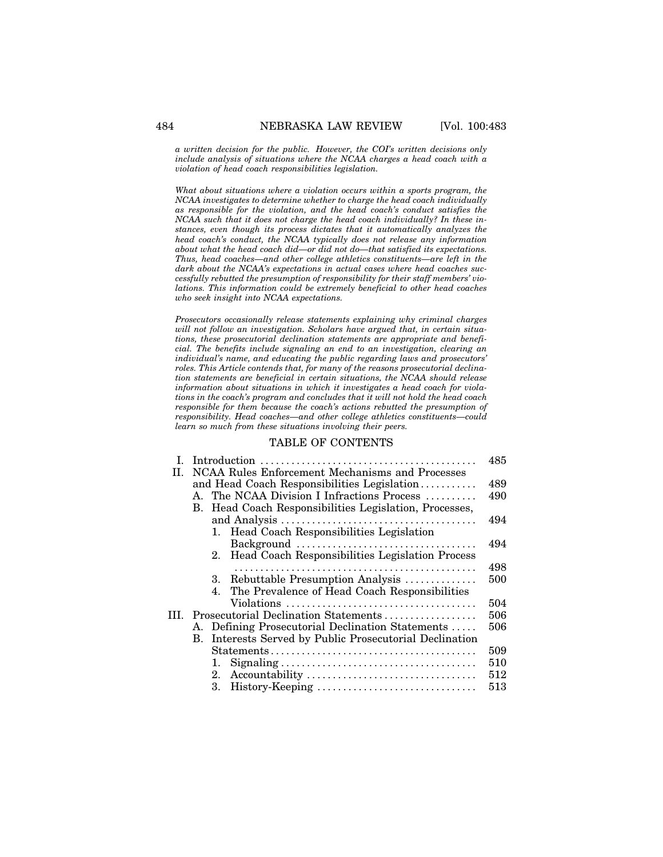*a written decision for the public. However, the COI's written decisions only include analysis of situations where the NCAA charges a head coach with a violation of head coach responsibilities legislation.*

*What about situations where a violation occurs within a sports program, the NCAA investigates to determine whether to charge the head coach individually as responsible for the violation, and the head coach's conduct satisfies the NCAA such that it does not charge the head coach individually? In these instances, even though its process dictates that it automatically analyzes the head coach's conduct, the NCAA typically does not release any information about what the head coach did—or did not do—that satisfied its expectations. Thus, head coaches—and other college athletics constituents—are left in the dark about the NCAA's expectations in actual cases where head coaches successfully rebutted the presumption of responsibility for their staff members' violations. This information could be extremely beneficial to other head coaches who seek insight into NCAA expectations.*

*Prosecutors occasionally release statements explaining why criminal charges will not follow an investigation. Scholars have argued that, in certain situations, these prosecutorial declination statements are appropriate and beneficial. The benefits include signaling an end to an investigation, clearing an individual's name, and educating the public regarding laws and prosecutors' roles. This Article contends that, for many of the reasons prosecutorial declination statements are beneficial in certain situations, the NCAA should release information about situations in which it investigates a head coach for violations in the coach's program and concludes that it will not hold the head coach responsible for them because the coach's actions rebutted the presumption of responsibility. Head coaches—and other college athletics constituents—could learn so much from these situations involving their peers.*

# TABLE OF CONTENTS

| $\mathbf{L}$ |                                                         |                                                     |                                                    |     |  |  |  |
|--------------|---------------------------------------------------------|-----------------------------------------------------|----------------------------------------------------|-----|--|--|--|
| H.           | NCAA Rules Enforcement Mechanisms and Processes         |                                                     |                                                    |     |  |  |  |
|              | and Head Coach Responsibilities Legislation             |                                                     |                                                    |     |  |  |  |
|              | $A_{-}$                                                 | The NCAA Division I Infractions Process             |                                                    |     |  |  |  |
|              | В.                                                      | Head Coach Responsibilities Legislation, Processes, |                                                    |     |  |  |  |
|              |                                                         |                                                     |                                                    |     |  |  |  |
|              |                                                         |                                                     | 1. Head Coach Responsibilities Legislation         |     |  |  |  |
|              |                                                         |                                                     |                                                    | 494 |  |  |  |
|              |                                                         |                                                     | 2. Head Coach Responsibilities Legislation Process |     |  |  |  |
|              |                                                         |                                                     |                                                    | 498 |  |  |  |
|              |                                                         | 3.                                                  | Rebuttable Presumption Analysis                    | 500 |  |  |  |
|              |                                                         | 4.                                                  | The Prevalence of Head Coach Responsibilities      |     |  |  |  |
|              |                                                         |                                                     |                                                    | 504 |  |  |  |
| ĦІ.          |                                                         | Prosecutorial Declination Statements                | 506                                                |     |  |  |  |
|              | A. Defining Prosecutorial Declination Statements        |                                                     |                                                    |     |  |  |  |
|              | B. Interests Served by Public Prosecutorial Declination |                                                     |                                                    |     |  |  |  |
|              |                                                         |                                                     |                                                    |     |  |  |  |
|              |                                                         | 1.                                                  |                                                    | 510 |  |  |  |
|              |                                                         | 2.                                                  |                                                    | 512 |  |  |  |
|              |                                                         | 3.                                                  | History-Keeping                                    | 513 |  |  |  |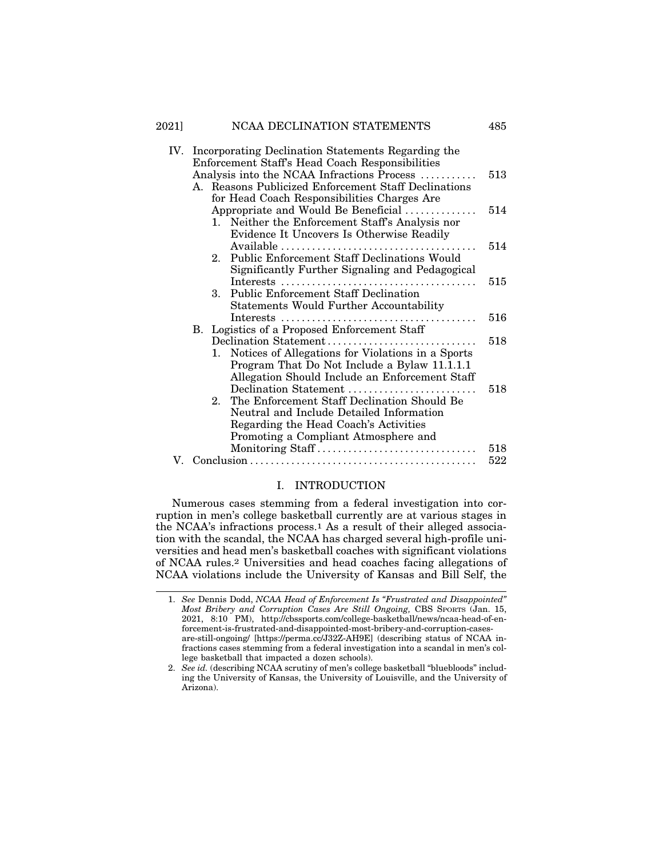# 2021] NCAA DECLINATION STATEMENTS 485

| IV. | Incorporating Declination Statements Regarding the |                                                      |                                                   |     |  |  |
|-----|----------------------------------------------------|------------------------------------------------------|---------------------------------------------------|-----|--|--|
|     | Enforcement Staff's Head Coach Responsibilities    |                                                      |                                                   |     |  |  |
|     | Analysis into the NCAA Infractions Process<br>513  |                                                      |                                                   |     |  |  |
|     |                                                    | A. Reasons Publicized Enforcement Staff Declinations |                                                   |     |  |  |
|     |                                                    | for Head Coach Responsibilities Charges Are          |                                                   |     |  |  |
|     |                                                    | Appropriate and Would Be Beneficial                  |                                                   |     |  |  |
|     |                                                    | 1. Neither the Enforcement Staff's Analysis nor      |                                                   |     |  |  |
|     |                                                    |                                                      | Evidence It Uncovers Is Otherwise Readily         |     |  |  |
|     |                                                    |                                                      |                                                   | 514 |  |  |
|     |                                                    |                                                      | 2. Public Enforcement Staff Declinations Would    |     |  |  |
|     |                                                    |                                                      | Significantly Further Signaling and Pedagogical   |     |  |  |
|     |                                                    |                                                      |                                                   | 515 |  |  |
|     |                                                    | 3.                                                   | <b>Public Enforcement Staff Declination</b>       |     |  |  |
|     |                                                    |                                                      | <b>Statements Would Further Accountability</b>    |     |  |  |
|     |                                                    |                                                      |                                                   | 516 |  |  |
|     |                                                    | B. Logistics of a Proposed Enforcement Staff         |                                                   |     |  |  |
|     |                                                    | Declination Statement                                |                                                   |     |  |  |
|     |                                                    | 1.                                                   | Notices of Allegations for Violations in a Sports |     |  |  |
|     |                                                    |                                                      | Program That Do Not Include a Bylaw 11.1.1.1      |     |  |  |
|     |                                                    |                                                      | Allegation Should Include an Enforcement Staff    |     |  |  |
|     |                                                    |                                                      | Declination Statement                             | 518 |  |  |
|     |                                                    |                                                      | 2. The Enforcement Staff Declination Should Be    |     |  |  |
|     |                                                    |                                                      | Neutral and Include Detailed Information          |     |  |  |
|     |                                                    |                                                      | Regarding the Head Coach's Activities             |     |  |  |
|     |                                                    |                                                      | Promoting a Compliant Atmosphere and              |     |  |  |
|     |                                                    |                                                      | Monitoring Staff                                  | 518 |  |  |
|     |                                                    |                                                      |                                                   |     |  |  |

# I. INTRODUCTION

Numerous cases stemming from a federal investigation into corruption in men's college basketball currently are at various stages in the NCAA's infractions process.1 As a result of their alleged association with the scandal, the NCAA has charged several high-profile universities and head men's basketball coaches with significant violations of NCAA rules.2 Universities and head coaches facing allegations of NCAA violations include the University of Kansas and Bill Self, the

<sup>1.</sup> *See* Dennis Dodd, *NCAA Head of Enforcement Is "Frustrated and Disappointed" Most Bribery and Corruption Cases Are Still Ongoing,* CBS SPORTS (Jan. 15, 2021, 8:10 PM), http://cbssports.com/college-basketball/news/ncaa-head-of-enforcement-is-frustrated-and-disappointed-most-bribery-and-corruption-casesare-still-ongoing/ [https://perma.cc/J32Z-AH9E] (describing status of NCAA infractions cases stemming from a federal investigation into a scandal in men's college basketball that impacted a dozen schools).

<sup>2.</sup> *See id.* (describing NCAA scrutiny of men's college basketball "bluebloods" including the University of Kansas, the University of Louisville, and the University of Arizona).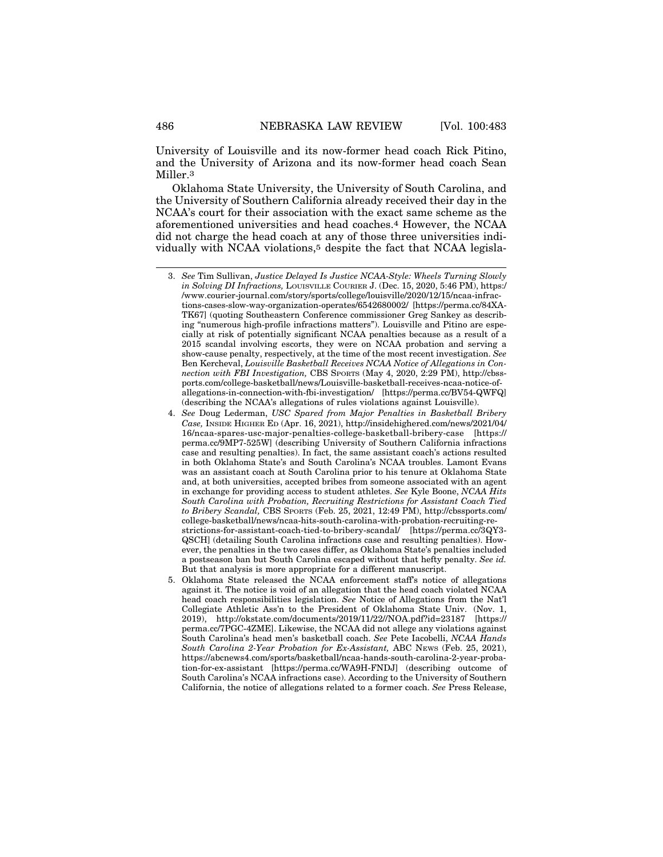University of Louisville and its now-former head coach Rick Pitino, and the University of Arizona and its now-former head coach Sean Miller.3

Oklahoma State University, the University of South Carolina, and the University of Southern California already received their day in the NCAA's court for their association with the exact same scheme as the aforementioned universities and head coaches.4 However, the NCAA did not charge the head coach at any of those three universities individually with NCAA violations,5 despite the fact that NCAA legisla-

<sup>3.</sup> *See* Tim Sullivan, *Justice Delayed Is Justice NCAA-Style: Wheels Turning Slowly in Solving DI Infractions, LOUISVILLE COURIER J. (Dec. 15, 2020, 5:46 PM), https:/* /www.courier-journal.com/story/sports/college/louisville/2020/12/15/ncaa-infractions-cases-slow-way-organization-operates/6542680002/ [https://perma.cc/84XA-TK67] (quoting Southeastern Conference commissioner Greg Sankey as describing "numerous high-profile infractions matters"). Louisville and Pitino are especially at risk of potentially significant NCAA penalties because as a result of a 2015 scandal involving escorts, they were on NCAA probation and serving a show-cause penalty, respectively, at the time of the most recent investigation. *See* Ben Kercheval, *Louisville Basketball Receives NCAA Notice of Allegations in Connection with FBI Investigation,* CBS SPORTS (May 4, 2020, 2:29 PM), http://cbssports.com/college-basketball/news/Louisville-basketball-receives-ncaa-notice-ofallegations-in-connection-with-fbi-investigation/ [https://perma.cc/BV54-QWFQ] (describing the NCAA's allegations of rules violations against Louisville).

<sup>4.</sup> *See* Doug Lederman, *USC Spared from Major Penalties in Basketball Bribery Case,* INSIDE HIGHER ED (Apr. 16, 2021), http://insidehighered.com/news/2021/04/ 16/ncaa-spares-usc-major-penalties-college-basketball-bribery-case [https:// perma.cc/9MP7-525W] (describing University of Southern California infractions case and resulting penalties). In fact, the same assistant coach's actions resulted in both Oklahoma State's and South Carolina's NCAA troubles. Lamont Evans was an assistant coach at South Carolina prior to his tenure at Oklahoma State and, at both universities, accepted bribes from someone associated with an agent in exchange for providing access to student athletes. *See* Kyle Boone, *NCAA Hits South Carolina with Probation, Recruiting Restrictions for Assistant Coach Tied to Bribery Scandal,* CBS SPORTS (Feb. 25, 2021, 12:49 PM), http://cbssports.com/ college-basketball/news/ncaa-hits-south-carolina-with-probation-recruiting-restrictions-for-assistant-coach-tied-to-bribery-scandal/ [https://perma.cc/3QY3- QSCH] (detailing South Carolina infractions case and resulting penalties). However, the penalties in the two cases differ, as Oklahoma State's penalties included a postseason ban but South Carolina escaped without that hefty penalty. *See id.* But that analysis is more appropriate for a different manuscript.

<sup>5.</sup> Oklahoma State released the NCAA enforcement staff's notice of allegations against it. The notice is void of an allegation that the head coach violated NCAA head coach responsibilities legislation. *See* Notice of Allegations from the Nat'l Collegiate Athletic Ass'n to the President of Oklahoma State Univ. (Nov. 1, 2019), http://okstate.com/documents/2019/11/22//NOA.pdf?id=23187 [https:// perma.cc/7PGC-4ZME]. Likewise, the NCAA did not allege any violations against South Carolina's head men's basketball coach. *See* Pete Iacobelli, *NCAA Hands South Carolina 2-Year Probation for Ex-Assistant,* ABC NEWS (Feb. 25, 2021), https://abcnews4.com/sports/basketball/ncaa-hands-south-carolina-2-year-probation-for-ex-assistant [https://perma.cc/WA9H-FNDJ] (describing outcome of South Carolina's NCAA infractions case). According to the University of Southern California, the notice of allegations related to a former coach. *See* Press Release,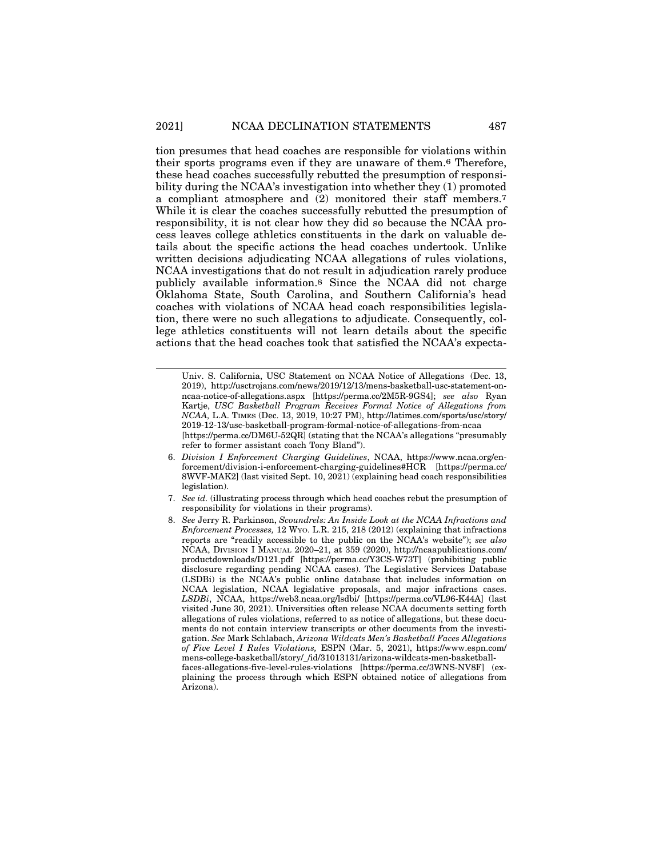tion presumes that head coaches are responsible for violations within their sports programs even if they are unaware of them.6 Therefore, these head coaches successfully rebutted the presumption of responsibility during the NCAA's investigation into whether they (1) promoted a compliant atmosphere and (2) monitored their staff members.7 While it is clear the coaches successfully rebutted the presumption of responsibility, it is not clear how they did so because the NCAA process leaves college athletics constituents in the dark on valuable details about the specific actions the head coaches undertook. Unlike written decisions adjudicating NCAA allegations of rules violations, NCAA investigations that do not result in adjudication rarely produce publicly available information.8 Since the NCAA did not charge Oklahoma State, South Carolina, and Southern California's head coaches with violations of NCAA head coach responsibilities legislation, there were no such allegations to adjudicate. Consequently, college athletics constituents will not learn details about the specific actions that the head coaches took that satisfied the NCAA's expecta-

- 6. *Division I Enforcement Charging Guidelines*, NCAA, https://www.ncaa.org/enforcement/division-i-enforcement-charging-guidelines#HCR [https://perma.cc/ 8WVF-MAK2] (last visited Sept. 10, 2021) (explaining head coach responsibilities legislation).
- 7. *See id.* (illustrating process through which head coaches rebut the presumption of responsibility for violations in their programs).
- 8. *See* Jerry R. Parkinson, *Scoundrels: An Inside Look at the NCAA Infractions and Enforcement Processes,* 12 WYO. L.R. 215, 218 (2012) (explaining that infractions reports are "readily accessible to the public on the NCAA's website"); *see also* NCAA, DIVISION I MANUAL 2020–21, at 359 (2020), http://ncaapublications.com/ productdownloads/D121.pdf [https://perma.cc/Y3CS-W73T] (prohibiting public disclosure regarding pending NCAA cases). The Legislative Services Database (LSDBi) is the NCAA's public online database that includes information on NCAA legislation, NCAA legislative proposals, and major infractions cases. *LSDBi*, NCAA, https://web3.ncaa.org/lsdbi/ [https://perma.cc/VL96-K44A] (last visited June 30, 2021). Universities often release NCAA documents setting forth allegations of rules violations, referred to as notice of allegations, but these documents do not contain interview transcripts or other documents from the investigation. *See* Mark Schlabach, *Arizona Wildcats Men's Basketball Faces Allegations of Five Level I Rules Violations,* ESPN (Mar. 5, 2021), https://www.espn.com/ mens-college-basketball/story/\_/id/31013131/arizona-wildcats-men-basketballfaces-allegations-five-level-rules-violations [https://perma.cc/3WNS-NV8F] (explaining the process through which ESPN obtained notice of allegations from Arizona).

Univ. S. California, USC Statement on NCAA Notice of Allegations (Dec. 13, 2019), http://usctrojans.com/news/2019/12/13/mens-basketball-usc-statement-onncaa-notice-of-allegations.aspx [https://perma.cc/2M5R-9GS4]; *see also* Ryan Kartje, *USC Basketball Program Receives Formal Notice of Allegations from NCAA,* L.A. TIMES (Dec. 13, 2019, 10:27 PM), http://latimes.com/sports/usc/story/ 2019-12-13/usc-basketball-program-formal-notice-of-allegations-from-ncaa [https://perma.cc/DM6U-52QR] (stating that the NCAA's allegations "presumably refer to former assistant coach Tony Bland").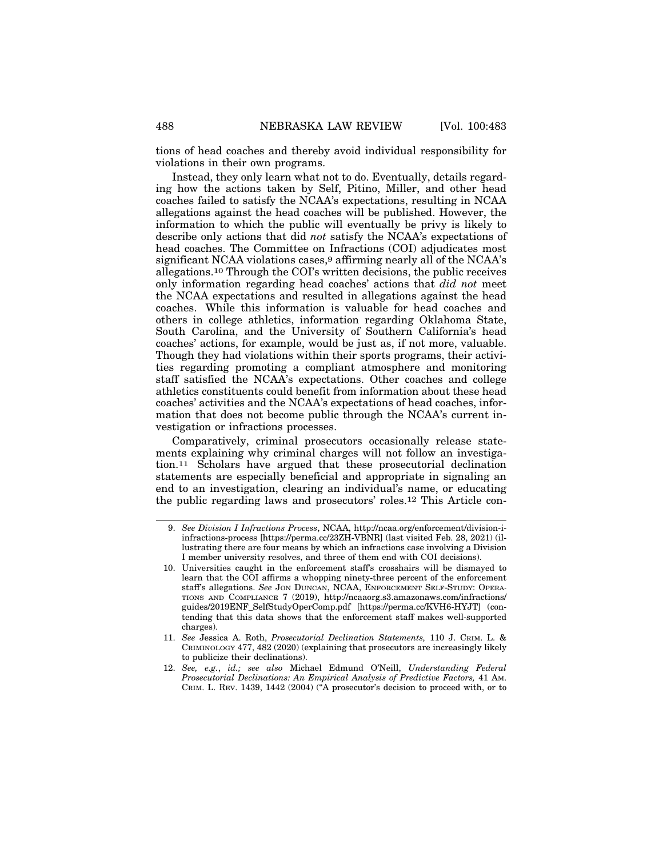tions of head coaches and thereby avoid individual responsibility for violations in their own programs.

Instead, they only learn what not to do. Eventually, details regarding how the actions taken by Self, Pitino, Miller, and other head coaches failed to satisfy the NCAA's expectations, resulting in NCAA allegations against the head coaches will be published. However, the information to which the public will eventually be privy is likely to describe only actions that did *not* satisfy the NCAA's expectations of head coaches. The Committee on Infractions (COI) adjudicates most significant NCAA violations cases,<sup>9</sup> affirming nearly all of the NCAA's allegations.10 Through the COI's written decisions, the public receives only information regarding head coaches' actions that *did not* meet the NCAA expectations and resulted in allegations against the head coaches. While this information is valuable for head coaches and others in college athletics, information regarding Oklahoma State, South Carolina, and the University of Southern California's head coaches' actions, for example, would be just as, if not more, valuable. Though they had violations within their sports programs, their activities regarding promoting a compliant atmosphere and monitoring staff satisfied the NCAA's expectations. Other coaches and college athletics constituents could benefit from information about these head coaches' activities and the NCAA's expectations of head coaches, information that does not become public through the NCAA's current investigation or infractions processes.

Comparatively, criminal prosecutors occasionally release statements explaining why criminal charges will not follow an investigation.11 Scholars have argued that these prosecutorial declination statements are especially beneficial and appropriate in signaling an end to an investigation, clearing an individual's name, or educating the public regarding laws and prosecutors' roles.12 This Article con-

<sup>9.</sup> *See Division I Infractions Process*, NCAA, http://ncaa.org/enforcement/division-iinfractions-process [https://perma.cc/23ZH-VBNR] (last visited Feb. 28, 2021) (illustrating there are four means by which an infractions case involving a Division I member university resolves, and three of them end with COI decisions).

<sup>10.</sup> Universities caught in the enforcement staff's crosshairs will be dismayed to learn that the COI affirms a whopping ninety-three percent of the enforcement staff's allegations. *See* JON DUNCAN, NCAA, ENFORCEMENT SELF-STUDY: OPERA-TIONS AND COMPLIANCE 7 (2019), http://ncaaorg.s3.amazonaws.com/infractions/ guides/2019ENF\_SelfStudyOperComp.pdf [https://perma.cc/KVH6-HYJT] (contending that this data shows that the enforcement staff makes well-supported charges).

<sup>11.</sup> *See* Jessica A. Roth, *Prosecutorial Declination Statements,* 110 J. CRIM. L. & CRIMINOLOGY 477, 482 (2020) (explaining that prosecutors are increasingly likely to publicize their declinations).

<sup>12.</sup> *See, e.g.*, *id.; see also* Michael Edmund O'Neill, *Understanding Federal Prosecutorial Declinations: An Empirical Analysis of Predictive Factors,* 41 AM. CRIM. L. REV. 1439, 1442 (2004) ("A prosecutor's decision to proceed with, or to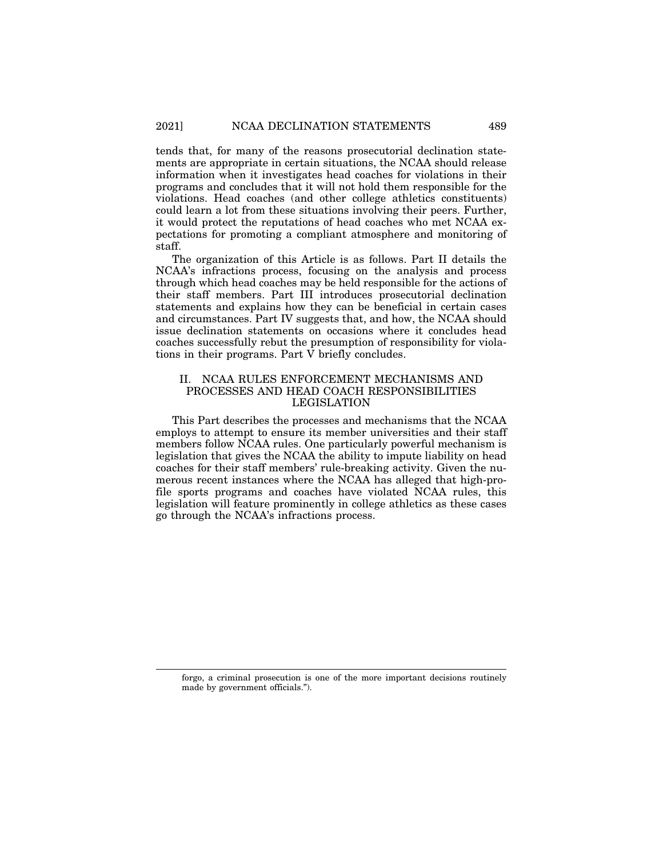tends that, for many of the reasons prosecutorial declination statements are appropriate in certain situations, the NCAA should release information when it investigates head coaches for violations in their programs and concludes that it will not hold them responsible for the violations. Head coaches (and other college athletics constituents) could learn a lot from these situations involving their peers. Further, it would protect the reputations of head coaches who met NCAA expectations for promoting a compliant atmosphere and monitoring of staff.

The organization of this Article is as follows. Part II details the NCAA's infractions process, focusing on the analysis and process through which head coaches may be held responsible for the actions of their staff members. Part III introduces prosecutorial declination statements and explains how they can be beneficial in certain cases and circumstances. Part IV suggests that, and how, the NCAA should issue declination statements on occasions where it concludes head coaches successfully rebut the presumption of responsibility for violations in their programs. Part V briefly concludes.

# II. NCAA RULES ENFORCEMENT MECHANISMS AND PROCESSES AND HEAD COACH RESPONSIBILITIES LEGISLATION

This Part describes the processes and mechanisms that the NCAA employs to attempt to ensure its member universities and their staff members follow NCAA rules. One particularly powerful mechanism is legislation that gives the NCAA the ability to impute liability on head coaches for their staff members' rule-breaking activity. Given the numerous recent instances where the NCAA has alleged that high-profile sports programs and coaches have violated NCAA rules, this legislation will feature prominently in college athletics as these cases go through the NCAA's infractions process.

forgo, a criminal prosecution is one of the more important decisions routinely made by government officials.").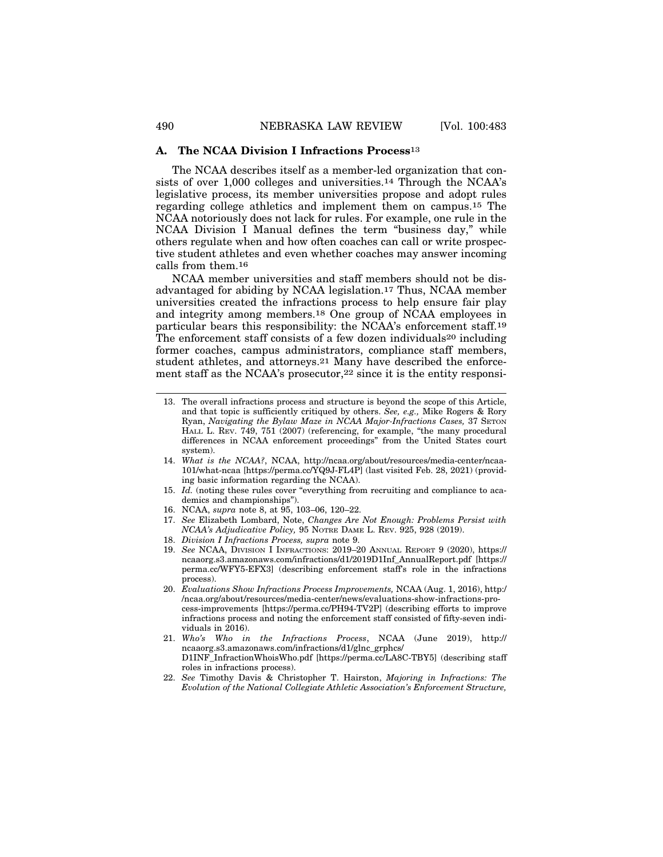#### **A. The NCAA Division I Infractions Process**13

The NCAA describes itself as a member-led organization that consists of over 1,000 colleges and universities.14 Through the NCAA's legislative process, its member universities propose and adopt rules regarding college athletics and implement them on campus.15 The NCAA notoriously does not lack for rules. For example, one rule in the NCAA Division I Manual defines the term "business day," while others regulate when and how often coaches can call or write prospective student athletes and even whether coaches may answer incoming calls from them.16

NCAA member universities and staff members should not be disadvantaged for abiding by NCAA legislation.17 Thus, NCAA member universities created the infractions process to help ensure fair play and integrity among members.18 One group of NCAA employees in particular bears this responsibility: the NCAA's enforcement staff.19 The enforcement staff consists of a few dozen individuals<sup>20</sup> including former coaches, campus administrators, compliance staff members, student athletes, and attorneys.21 Many have described the enforcement staff as the NCAA's prosecutor,22 since it is the entity responsi-

- 15. *Id.* (noting these rules cover "everything from recruiting and compliance to academics and championships").
- 16. NCAA, *supra* note 8, at 95, 103–06, 120–22.
- 17. *See* Elizabeth Lombard, Note, *Changes Are Not Enough: Problems Persist with NCAA's Adjudicative Policy,* 95 NOTRE DAME L. REV. 925, 928 (2019).
- 18. *Division I Infractions Process, supra* note 9.
- 19. *See* NCAA, DIVISION I INFRACTIONS: 2019–20 ANNUAL REPORT 9 (2020), https:// ncaaorg.s3.amazonaws.com/infractions/d1/2019D1Inf\_AnnualReport.pdf [https:// perma.cc/WFY5-EFX3] (describing enforcement staff's role in the infractions process).
- 20. *Evaluations Show Infractions Process Improvements,* NCAA (Aug. 1, 2016), http:/ /ncaa.org/about/resources/media-center/news/evaluations-show-infractions-process-improvements [https://perma.cc/PH94-TV2P] (describing efforts to improve infractions process and noting the enforcement staff consisted of fifty-seven individuals in 2016).
- 21. *Who's Who in the Infractions Process*, NCAA (June 2019), http:// ncaaorg.s3.amazonaws.com/infractions/d1/glnc\_grphcs/ D1INF\_InfractionWhoisWho.pdf [https://perma.cc/LA8C-TBY5] (describing staff roles in infractions process).
- 22. *See* Timothy Davis & Christopher T. Hairston, *Majoring in Infractions: The Evolution of the National Collegiate Athletic Association's Enforcement Structure,*

<sup>13.</sup> The overall infractions process and structure is beyond the scope of this Article, and that topic is sufficiently critiqued by others. *See, e.g.,* Mike Rogers & Rory Ryan, *Navigating the Bylaw Maze in NCAA Major-Infractions Cases,* 37 SETON HALL L. REV. 749, 751 (2007) (referencing, for example, "the many procedural differences in NCAA enforcement proceedings" from the United States court system).

<sup>14.</sup> *What is the NCAA?*, NCAA, http://ncaa.org/about/resources/media-center/ncaa-101/what-ncaa [https://perma.cc/YQ9J-FL4P] (last visited Feb. 28, 2021) (providing basic information regarding the NCAA).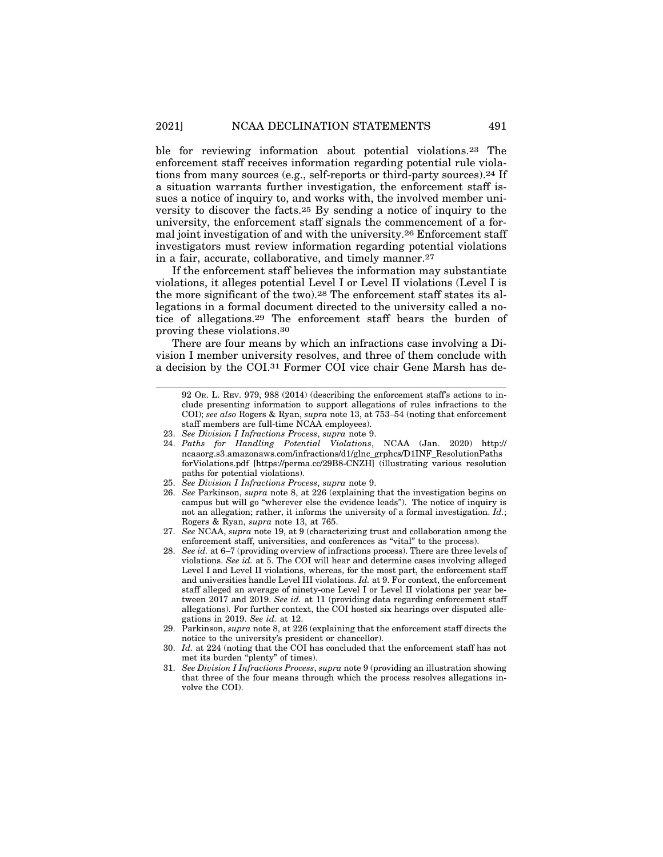ble for reviewing information about potential violations.23 The enforcement staff receives information regarding potential rule violations from many sources (e.g., self-reports or third-party sources).24 If a situation warrants further investigation, the enforcement staff issues a notice of inquiry to, and works with, the involved member university to discover the facts.25 By sending a notice of inquiry to the university, the enforcement staff signals the commencement of a formal joint investigation of and with the university.26 Enforcement staff investigators must review information regarding potential violations in a fair, accurate, collaborative, and timely manner.27

If the enforcement staff believes the information may substantiate violations, it alleges potential Level I or Level II violations (Level I is the more significant of the two).28 The enforcement staff states its allegations in a formal document directed to the university called a notice of allegations.29 The enforcement staff bears the burden of proving these violations.30

There are four means by which an infractions case involving a Division I member university resolves, and three of them conclude with a decision by the COI.31 Former COI vice chair Gene Marsh has de-

- 24. *Paths for Handling Potential Violations*, NCAA (Jan. 2020) http:// ncaaorg.s3.amazonaws.com/infractions/d1/glnc\_grphcs/D1INF\_ResolutionPaths forViolations.pdf [https://perma.cc/29B8-CNZH] (illustrating various resolution paths for potential violations).
- 25. *See Division I Infractions Process*, *supra* note 9.
- 26. *See* Parkinson, *supra* note 8, at 226 (explaining that the investigation begins on campus but will go "wherever else the evidence leads"). The notice of inquiry is not an allegation; rather, it informs the university of a formal investigation. *Id.*; Rogers & Ryan, *supra* note 13, at 765.
- 27. *See* NCAA, *supra* note 19, at 9 (characterizing trust and collaboration among the enforcement staff, universities, and conferences as "vital" to the process).
- 28. *See id.* at 6–7 (providing overview of infractions process). There are three levels of violations. *See id.* at 5. The COI will hear and determine cases involving alleged Level I and Level II violations, whereas, for the most part, the enforcement staff and universities handle Level III violations. *Id.* at 9. For context, the enforcement staff alleged an average of ninety-one Level I or Level II violations per year between 2017 and 2019. *See id.* at 11 (providing data regarding enforcement staff allegations). For further context, the COI hosted six hearings over disputed allegations in 2019. *See id.* at 12.
- 29. Parkinson, *supra* note 8, at 226 (explaining that the enforcement staff directs the notice to the university's president or chancellor).
- 30. *Id.* at 224 (noting that the COI has concluded that the enforcement staff has not met its burden "plenty" of times).
- 31. *See Division I Infractions Process*, *supra* note 9 (providing an illustration showing that three of the four means through which the process resolves allegations involve the COI).

<sup>92</sup> OR. L. REV. 979, 988 (2014) (describing the enforcement staff's actions to include presenting information to support allegations of rules infractions to the COI); *see also* Rogers & Ryan, *supra* note 13, at 753–54 (noting that enforcement staff members are full-time NCAA employees).

<sup>23.</sup> *See Division I Infractions Process*, *supra* note 9.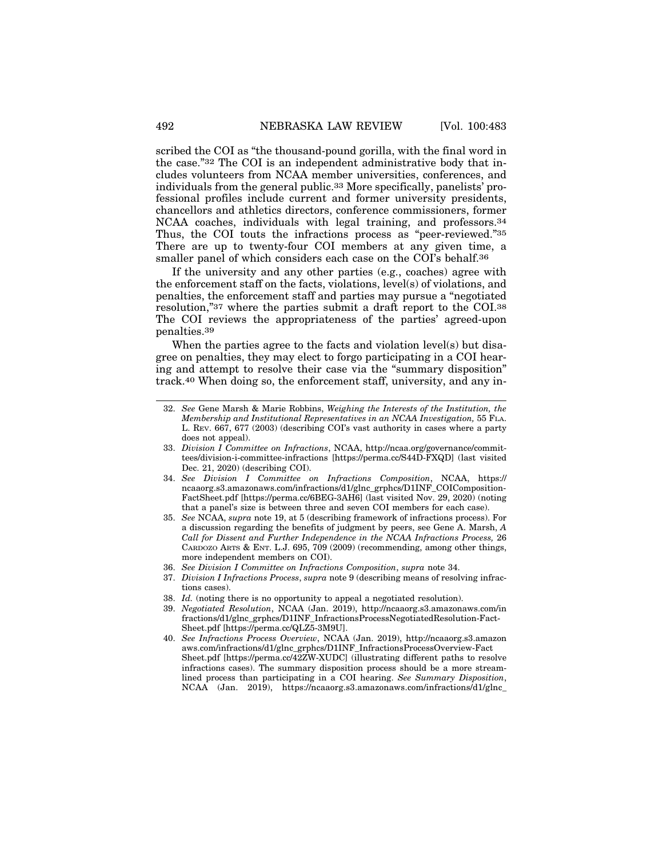scribed the COI as "the thousand-pound gorilla, with the final word in the case."32 The COI is an independent administrative body that includes volunteers from NCAA member universities, conferences, and individuals from the general public.33 More specifically, panelists' professional profiles include current and former university presidents, chancellors and athletics directors, conference commissioners, former NCAA coaches, individuals with legal training, and professors.34 Thus, the COI touts the infractions process as "peer-reviewed."35 There are up to twenty-four COI members at any given time, a smaller panel of which considers each case on the COI's behalf.<sup>36</sup>

If the university and any other parties (e.g., coaches) agree with the enforcement staff on the facts, violations, level(s) of violations, and penalties, the enforcement staff and parties may pursue a "negotiated resolution,"37 where the parties submit a draft report to the COI.38 The COI reviews the appropriateness of the parties' agreed-upon penalties.39

When the parties agree to the facts and violation level(s) but disagree on penalties, they may elect to forgo participating in a COI hearing and attempt to resolve their case via the "summary disposition" track.40 When doing so, the enforcement staff, university, and any in-

- 33. *Division I Committee on Infractions*, NCAA, http://ncaa.org/governance/committees/division-i-committee-infractions [https://perma.cc/S44D-FXQD] (last visited Dec. 21, 2020) (describing COI).
- 34. *See Division I Committee on Infractions Composition*, NCAA, https:// ncaaorg.s3.amazonaws.com/infractions/d1/glnc\_grphcs/D1INF\_COIComposition-FactSheet.pdf [https://perma.cc/6BEG-3AH6] (last visited Nov. 29, 2020) (noting that a panel's size is between three and seven COI members for each case).
- 35. *See* NCAA, *supra* note 19, at 5 (describing framework of infractions process). For a discussion regarding the benefits of judgment by peers, see Gene A. Marsh, *A Call for Dissent and Further Independence in the NCAA Infractions Process,* 26 CARDOZO ARTS & ENT. L.J. 695, 709 (2009) (recommending, among other things, more independent members on COI).
- 36. *See Division I Committee on Infractions Composition*, *supra* note 34.
- 37. *Division I Infractions Process*, *supra* note 9 (describing means of resolving infractions cases).
- 38. *Id.* (noting there is no opportunity to appeal a negotiated resolution).
- 39. *Negotiated Resolution*, NCAA (Jan. 2019), http://ncaaorg.s3.amazonaws.com/in fractions/d1/glnc\_grphcs/D1INF\_InfractionsProcessNegotiatedResolution-Fact-Sheet.pdf [https://perma.cc/QLZ5-3M9U].
- 40. *See Infractions Process Overview*, NCAA (Jan. 2019), http://ncaaorg.s3.amazon aws.com/infractions/d1/glnc\_grphcs/D1INF\_InfractionsProcessOverview-Fact Sheet.pdf [https://perma.cc/42ZW-XUDC] (illustrating different paths to resolve infractions cases). The summary disposition process should be a more streamlined process than participating in a COI hearing. *See Summary Disposition*, NCAA (Jan. 2019), https://ncaaorg.s3.amazonaws.com/infractions/d1/glnc\_

<sup>32.</sup> *See* Gene Marsh & Marie Robbins, *Weighing the Interests of the Institution, the Membership and Institutional Representatives in an NCAA Investigation,* 55 FLA. L. REV. 667, 677 (2003) (describing COI's vast authority in cases where a party does not appeal).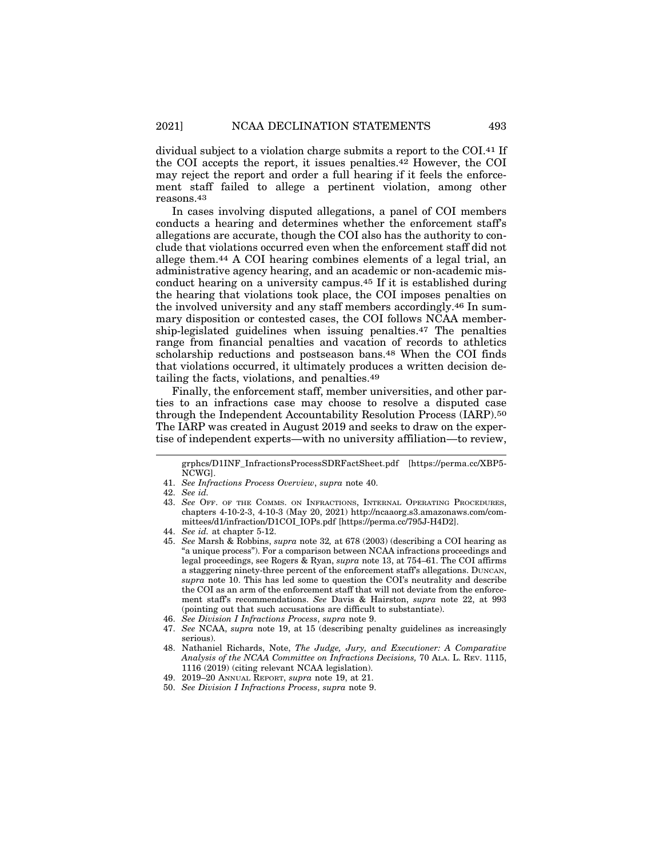dividual subject to a violation charge submits a report to the COI.41 If the COI accepts the report, it issues penalties.42 However, the COI may reject the report and order a full hearing if it feels the enforcement staff failed to allege a pertinent violation, among other reasons.43

In cases involving disputed allegations, a panel of COI members conducts a hearing and determines whether the enforcement staff's allegations are accurate, though the COI also has the authority to conclude that violations occurred even when the enforcement staff did not allege them.44 A COI hearing combines elements of a legal trial, an administrative agency hearing, and an academic or non-academic misconduct hearing on a university campus.45 If it is established during the hearing that violations took place, the COI imposes penalties on the involved university and any staff members accordingly.46 In summary disposition or contested cases, the COI follows NCAA membership-legislated guidelines when issuing penalties.47 The penalties range from financial penalties and vacation of records to athletics scholarship reductions and postseason bans.48 When the COI finds that violations occurred, it ultimately produces a written decision detailing the facts, violations, and penalties.49

Finally, the enforcement staff, member universities, and other parties to an infractions case may choose to resolve a disputed case through the Independent Accountability Resolution Process (IARP).50 The IARP was created in August 2019 and seeks to draw on the expertise of independent experts—with no university affiliation—to review,

grphcs/D1INF\_InfractionsProcessSDRFactSheet.pdf [https://perma.cc/XBP5- NCWG].

<sup>41.</sup> *See Infractions Process Overview*, *supra* note 40.

<sup>42.</sup> *See id.*

<sup>43.</sup> *See* OFF. OF THE COMMS. ON INFRACTIONS, INTERNAL OPERATING PROCEDURES, chapters 4-10-2-3, 4-10-3 (May 20, 2021) http://ncaaorg.s3.amazonaws.com/committees/d1/infraction/D1COI\_IOPs.pdf [https://perma.cc/795J-H4D2].

<sup>44.</sup> *See id.* at chapter 5-12.

<sup>45.</sup> *See* Marsh & Robbins, *supra* note 32*,* at 678 (2003) (describing a COI hearing as "a unique process"). For a comparison between NCAA infractions proceedings and legal proceedings, see Rogers & Ryan, *supra* note 13, at 754–61. The COI affirms a staggering ninety-three percent of the enforcement staff's allegations. DUNCAN, *supra* note 10. This has led some to question the COI's neutrality and describe the COI as an arm of the enforcement staff that will not deviate from the enforcement staff's recommendations. *See* Davis & Hairston, *supra* note 22, at 993 (pointing out that such accusations are difficult to substantiate).

<sup>46.</sup> *See Division I Infractions Process*, *supra* note 9.

<sup>47.</sup> *See* NCAA, *supra* note 19, at 15 (describing penalty guidelines as increasingly serious).

<sup>48.</sup> Nathaniel Richards, Note, *The Judge, Jury, and Executioner: A Comparative Analysis of the NCAA Committee on Infractions Decisions,* 70 ALA. L. REV. 1115, 1116 (2019) (citing relevant NCAA legislation).

<sup>49. 2019–20</sup> ANNUAL REPORT, *supra* note 19, at 21.

<sup>50.</sup> *See Division I Infractions Process*, *supra* note 9.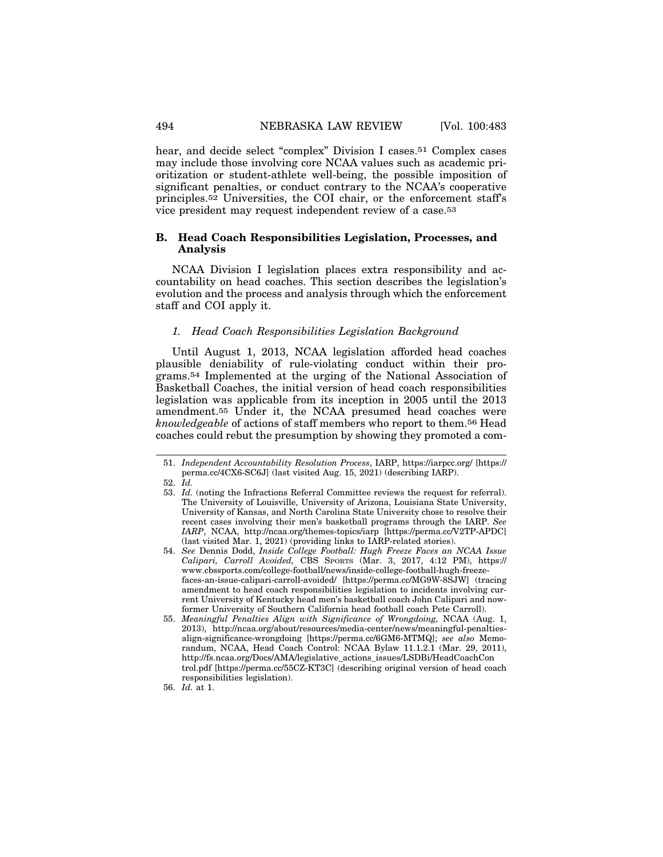hear, and decide select "complex" Division I cases.51 Complex cases may include those involving core NCAA values such as academic prioritization or student-athlete well-being, the possible imposition of significant penalties, or conduct contrary to the NCAA's cooperative principles.52 Universities, the COI chair, or the enforcement staff's vice president may request independent review of a case.53

# **B. Head Coach Responsibilities Legislation, Processes, and Analysis**

NCAA Division I legislation places extra responsibility and accountability on head coaches. This section describes the legislation's evolution and the process and analysis through which the enforcement staff and COI apply it.

## *1. Head Coach Responsibilities Legislation Background*

Until August 1, 2013, NCAA legislation afforded head coaches plausible deniability of rule-violating conduct within their programs.54 Implemented at the urging of the National Association of Basketball Coaches, the initial version of head coach responsibilities legislation was applicable from its inception in 2005 until the 2013 amendment.55 Under it, the NCAA presumed head coaches were *knowledgeable* of actions of staff members who report to them.56 Head coaches could rebut the presumption by showing they promoted a com-

<sup>51.</sup> *Independent Accountability Resolution Process*, IARP, https://iarpcc.org/ [https:// perma.cc/4CX6-SC6J] (last visited Aug. 15, 2021) (describing IARP).

<sup>52.</sup> *Id.*

<sup>53.</sup> *Id.* (noting the Infractions Referral Committee reviews the request for referral). The University of Louisville, University of Arizona, Louisiana State University, University of Kansas, and North Carolina State University chose to resolve their recent cases involving their men's basketball programs through the IARP. *See IARP*, NCAA, http://ncaa.org/themes-topics/iarp [https://perma.cc/V2TP-APDC] (last visited Mar. 1, 2021) (providing links to IARP-related stories).

<sup>54.</sup> *See* Dennis Dodd, *Inside College Football: Hugh Freeze Faces an NCAA Issue Calipari, Carroll Avoided,* CBS SPORTS (Mar. 3, 2017, 4:12 PM), https:// www.cbssports.com/college-football/news/inside-college-football-hugh-freezefaces-an-issue-calipari-carroll-avoided/ [https://perma.cc/MG9W-8SJW] (tracing amendment to head coach responsibilities legislation to incidents involving current University of Kentucky head men's basketball coach John Calipari and nowformer University of Southern California head football coach Pete Carroll).

<sup>55.</sup> *Meaningful Penalties Align with Significance of Wrongdoing,* NCAA (Aug. 1, 2013), http://ncaa.org/about/resources/media-center/news/meaningful-penaltiesalign-significance-wrongdoing [https://perma.cc/6GM6-MTMQ]; *see also* Memorandum, NCAA, Head Coach Control: NCAA Bylaw 11.1.2.1 (Mar. 29, 2011), http://fs.ncaa.org/Docs/AMA/legislative\_actions\_issues/LSDBi/HeadCoachCon trol.pdf [https://perma.cc/55CZ-KT3C] (describing original version of head coach responsibilities legislation).

<sup>56.</sup> *Id.* at 1.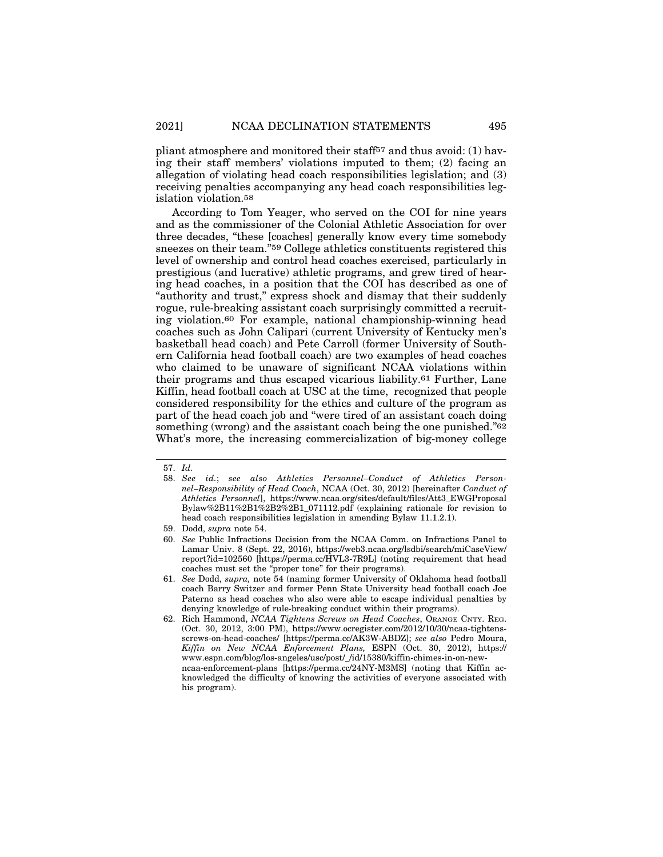pliant atmosphere and monitored their staff57 and thus avoid: (1) having their staff members' violations imputed to them; (2) facing an allegation of violating head coach responsibilities legislation; and (3) receiving penalties accompanying any head coach responsibilities legislation violation.58

According to Tom Yeager, who served on the COI for nine years and as the commissioner of the Colonial Athletic Association for over three decades, "these [coaches] generally know every time somebody sneezes on their team."59 College athletics constituents registered this level of ownership and control head coaches exercised, particularly in prestigious (and lucrative) athletic programs, and grew tired of hearing head coaches, in a position that the COI has described as one of "authority and trust," express shock and dismay that their suddenly rogue, rule-breaking assistant coach surprisingly committed a recruiting violation.60 For example, national championship-winning head coaches such as John Calipari (current University of Kentucky men's basketball head coach) and Pete Carroll (former University of Southern California head football coach) are two examples of head coaches who claimed to be unaware of significant NCAA violations within their programs and thus escaped vicarious liability.61 Further, Lane Kiffin, head football coach at USC at the time, recognized that people considered responsibility for the ethics and culture of the program as part of the head coach job and "were tired of an assistant coach doing something (wrong) and the assistant coach being the one punished."<sup>62</sup> What's more, the increasing commercialization of big-money college

<sup>57.</sup> *Id.*

<sup>58.</sup> *See id.*; *see also Athletics Personnel–Conduct of Athletics Personnel–Responsibility of Head Coach*, NCAA (Oct. 30, 2012) [hereinafter *Conduct of Athletics Personnel*], https://www.ncaa.org/sites/default/files/Att3\_EWGProposal Bylaw%2B11%2B1%2B2%2B1\_071112.pdf (explaining rationale for revision to head coach responsibilities legislation in amending Bylaw 11.1.2.1).

<sup>59.</sup> Dodd, *supra* note 54.

<sup>60.</sup> *See* Public Infractions Decision from the NCAA Comm. on Infractions Panel to Lamar Univ. 8 (Sept. 22, 2016), https://web3.ncaa.org/lsdbi/search/miCaseView/ report?id=102560 [https://perma.cc/HVL3-7R9L] (noting requirement that head coaches must set the "proper tone" for their programs).

<sup>61.</sup> *See* Dodd, *supra,* note 54 (naming former University of Oklahoma head football coach Barry Switzer and former Penn State University head football coach Joe Paterno as head coaches who also were able to escape individual penalties by denying knowledge of rule-breaking conduct within their programs).

<sup>62.</sup> Rich Hammond, *NCAA Tightens Screws on Head Coaches*, ORANGE CNTY. REG. (Oct. 30, 2012, 3:00 PM), https://www.ocregister.com/2012/10/30/ncaa-tightensscrews-on-head-coaches/ [https://perma.cc/AK3W-ABDZ]; *see also* Pedro Moura, *Kiffin on New NCAA Enforcement Plans,* ESPN (Oct. 30, 2012), https:// www.espn.com/blog/los-angeles/usc/post/\_/id/15380/kiffin-chimes-in-on-newncaa-enforcement-plans [https://perma.cc/24NY-M3MS] (noting that Kiffin acknowledged the difficulty of knowing the activities of everyone associated with his program).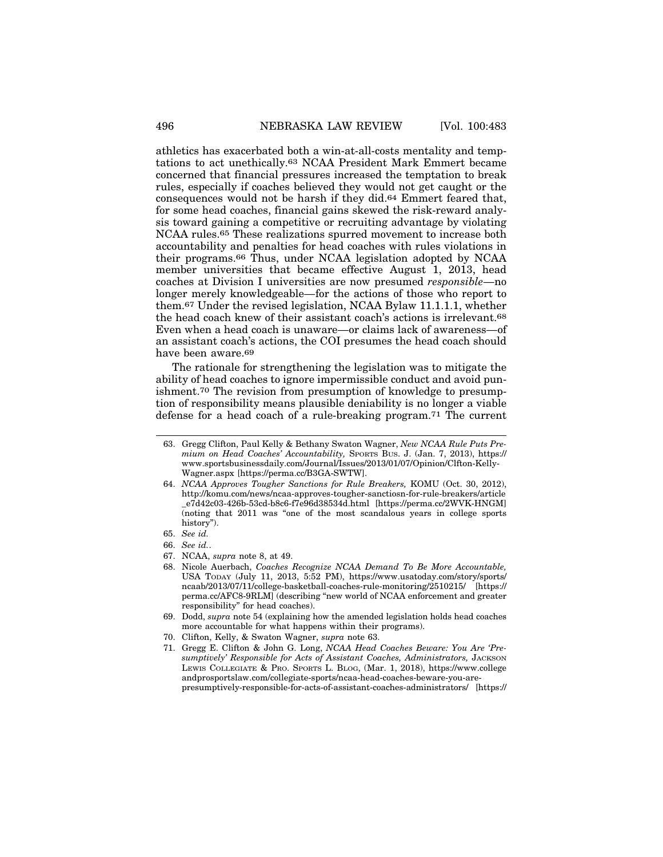athletics has exacerbated both a win-at-all-costs mentality and temptations to act unethically.63 NCAA President Mark Emmert became concerned that financial pressures increased the temptation to break rules, especially if coaches believed they would not get caught or the consequences would not be harsh if they did.64 Emmert feared that, for some head coaches, financial gains skewed the risk-reward analysis toward gaining a competitive or recruiting advantage by violating NCAA rules.65 These realizations spurred movement to increase both accountability and penalties for head coaches with rules violations in their programs.66 Thus, under NCAA legislation adopted by NCAA member universities that became effective August 1, 2013, head coaches at Division I universities are now presumed *responsible*—no longer merely knowledgeable—for the actions of those who report to them.67 Under the revised legislation, NCAA Bylaw 11.1.1.1, whether the head coach knew of their assistant coach's actions is irrelevant.68 Even when a head coach is unaware—or claims lack of awareness—of an assistant coach's actions, the COI presumes the head coach should have been aware.69

The rationale for strengthening the legislation was to mitigate the ability of head coaches to ignore impermissible conduct and avoid punishment.70 The revision from presumption of knowledge to presumption of responsibility means plausible deniability is no longer a viable defense for a head coach of a rule-breaking program.71 The current

<sup>63.</sup> Gregg Clifton, Paul Kelly & Bethany Swaton Wagner, *New NCAA Rule Puts Premium on Head Coaches' Accountability,* SPORTS BUS. J. (Jan. 7, 2013), https:// www.sportsbusinessdaily.com/Journal/Issues/2013/01/07/Opinion/Clfton-Kelly-Wagner.aspx [https://perma.cc/B3GA-SWTW].

<sup>64.</sup> *NCAA Approves Tougher Sanctions for Rule Breakers,* KOMU (Oct. 30, 2012), http://komu.com/news/ncaa-approves-tougher-sanctiosn-for-rule-breakers/article \_e7d42c03-426b-53cd-b8c6-f7e96d38534d.html [https://perma.cc/2WVK-HNGM] (noting that 2011 was "one of the most scandalous years in college sports history").

<sup>65.</sup> *See id.*

<sup>66.</sup> *See id.*.

<sup>67.</sup> NCAA, *supra* note 8, at 49.

<sup>68.</sup> Nicole Auerbach, *Coaches Recognize NCAA Demand To Be More Accountable,* USA TODAY (July 11, 2013, 5:52 PM), https://www.usatoday.com/story/sports/ ncaab/2013/07/11/college-basketball-coaches-rule-monitoring/2510215/ [https:// perma.cc/AFC8-9RLM] (describing "new world of NCAA enforcement and greater responsibility" for head coaches).

<sup>69.</sup> Dodd, *supra* note 54 (explaining how the amended legislation holds head coaches more accountable for what happens within their programs).

<sup>70.</sup> Clifton, Kelly, & Swaton Wagner, *supra* note 63.

<sup>71.</sup> Gregg E. Clifton & John G. Long, *NCAA Head Coaches Beware: You Are 'Presumptively' Responsible for Acts of Assistant Coaches, Administrators,* JACKSON LEWIS COLLEGIATE & PRO. SPORTS L. BLOG, (Mar. 1, 2018), https://www.college andprosportslaw.com/collegiate-sports/ncaa-head-coaches-beware-you-arepresumptively-responsible-for-acts-of-assistant-coaches-administrators/ [https://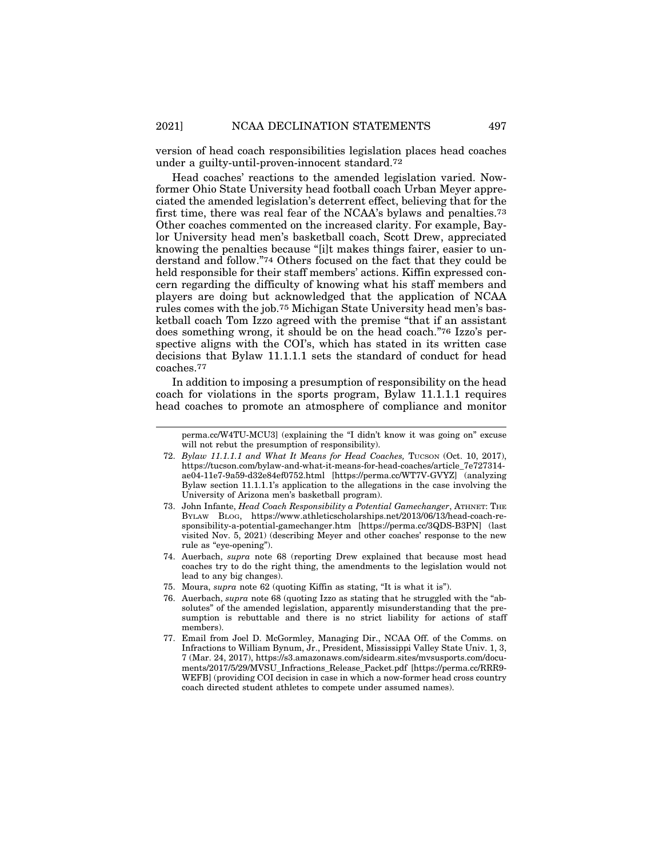version of head coach responsibilities legislation places head coaches under a guilty-until-proven-innocent standard.72

Head coaches' reactions to the amended legislation varied. Nowformer Ohio State University head football coach Urban Meyer appreciated the amended legislation's deterrent effect, believing that for the first time, there was real fear of the NCAA's bylaws and penalties.73 Other coaches commented on the increased clarity. For example, Baylor University head men's basketball coach, Scott Drew, appreciated knowing the penalties because "[i]t makes things fairer, easier to understand and follow."74 Others focused on the fact that they could be held responsible for their staff members' actions. Kiffin expressed concern regarding the difficulty of knowing what his staff members and players are doing but acknowledged that the application of NCAA rules comes with the job.75 Michigan State University head men's basketball coach Tom Izzo agreed with the premise "that if an assistant does something wrong, it should be on the head coach."76 Izzo's perspective aligns with the COI's, which has stated in its written case decisions that Bylaw 11.1.1.1 sets the standard of conduct for head coaches.77

In addition to imposing a presumption of responsibility on the head coach for violations in the sports program, Bylaw 11.1.1.1 requires head coaches to promote an atmosphere of compliance and monitor

- 74. Auerbach, *supra* note 68 (reporting Drew explained that because most head coaches try to do the right thing, the amendments to the legislation would not lead to any big changes).
- 75. Moura, *supra* note 62 (quoting Kiffin as stating, "It is what it is").
- 76. Auerbach, *supra* note 68 (quoting Izzo as stating that he struggled with the "absolutes" of the amended legislation, apparently misunderstanding that the presumption is rebuttable and there is no strict liability for actions of staff members).
- 77. Email from Joel D. McGormley, Managing Dir., NCAA Off. of the Comms. on Infractions to William Bynum, Jr., President, Mississippi Valley State Univ. 1, 3, 7 (Mar. 24, 2017), https://s3.amazonaws.com/sidearm.sites/mvsusports.com/documents/2017/5/29/MVSU\_Infractions\_Release\_Packet.pdf [https://perma.cc/RRR9- WEFB] (providing COI decision in case in which a now-former head cross country coach directed student athletes to compete under assumed names).

perma.cc/W4TU-MCU3] (explaining the "I didn't know it was going on" excuse will not rebut the presumption of responsibility).

<sup>72.</sup> *Bylaw 11.1.1.1 and What It Means for Head Coaches, Tucson (Oct. 10, 2017),* https://tucson.com/bylaw-and-what-it-means-for-head-coaches/article\_7e727314 ae04-11e7-9a59-d32e84ef0752.html [https://perma.cc/WT7V-GVYZ] (analyzing Bylaw section 11.1.1.1's application to the allegations in the case involving the University of Arizona men's basketball program).

<sup>73.</sup> John Infante, *Head Coach Responsibility a Potential Gamechanger*, ATHNET: THE BYLAW BLOG, https://www.athleticscholarships.net/2013/06/13/head-coach-responsibility-a-potential-gamechanger.htm [https://perma.cc/3QDS-B3PN] (last visited Nov. 5, 2021) (describing Meyer and other coaches' response to the new rule as "eye-opening").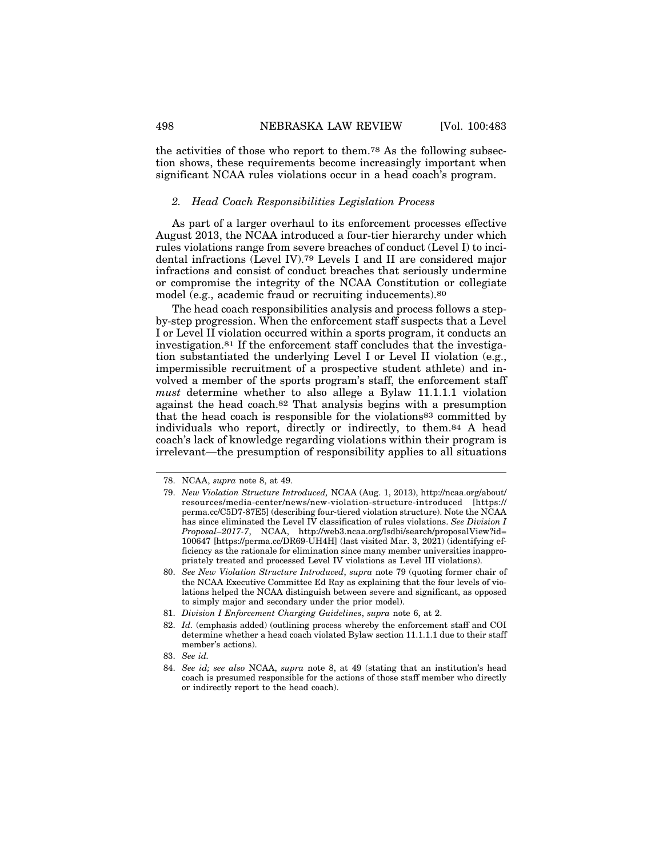the activities of those who report to them.78 As the following subsection shows, these requirements become increasingly important when significant NCAA rules violations occur in a head coach's program.

# *2. Head Coach Responsibilities Legislation Process*

As part of a larger overhaul to its enforcement processes effective August 2013, the NCAA introduced a four-tier hierarchy under which rules violations range from severe breaches of conduct (Level I) to incidental infractions (Level IV).79 Levels I and II are considered major infractions and consist of conduct breaches that seriously undermine or compromise the integrity of the NCAA Constitution or collegiate model (e.g., academic fraud or recruiting inducements).80

The head coach responsibilities analysis and process follows a stepby-step progression. When the enforcement staff suspects that a Level I or Level II violation occurred within a sports program, it conducts an investigation.81 If the enforcement staff concludes that the investigation substantiated the underlying Level I or Level II violation (e.g., impermissible recruitment of a prospective student athlete) and involved a member of the sports program's staff, the enforcement staff *must* determine whether to also allege a Bylaw 11.1.1.1 violation against the head coach.82 That analysis begins with a presumption that the head coach is responsible for the violations83 committed by individuals who report, directly or indirectly, to them.84 A head coach's lack of knowledge regarding violations within their program is irrelevant—the presumption of responsibility applies to all situations

83. *See id.*

<sup>78.</sup> NCAA, *supra* note 8, at 49.

<sup>79.</sup> *New Violation Structure Introduced,* NCAA (Aug. 1, 2013), http://ncaa.org/about/ resources/media-center/news/new-violation-structure-introduced [https:// perma.cc/C5D7-87E5] (describing four-tiered violation structure). Note the NCAA has since eliminated the Level IV classification of rules violations. *See Division I Proposal–2017-7*, NCAA, http://web3.ncaa.org/lsdbi/search/proposalView?id= 100647 [https://perma.cc/DR69-UH4H] (last visited Mar. 3, 2021) (identifying efficiency as the rationale for elimination since many member universities inappropriately treated and processed Level IV violations as Level III violations).

<sup>80.</sup> *See New Violation Structure Introduced*, *supra* note 79 (quoting former chair of the NCAA Executive Committee Ed Ray as explaining that the four levels of violations helped the NCAA distinguish between severe and significant, as opposed to simply major and secondary under the prior model).

<sup>81.</sup> *Division I Enforcement Charging Guidelines*, *supra* note 6, at 2.

<sup>82.</sup> *Id.* (emphasis added) (outlining process whereby the enforcement staff and COI determine whether a head coach violated Bylaw section 11.1.1.1 due to their staff member's actions).

<sup>84.</sup> *See id; see also* NCAA, *supra* note 8, at 49 (stating that an institution's head coach is presumed responsible for the actions of those staff member who directly or indirectly report to the head coach).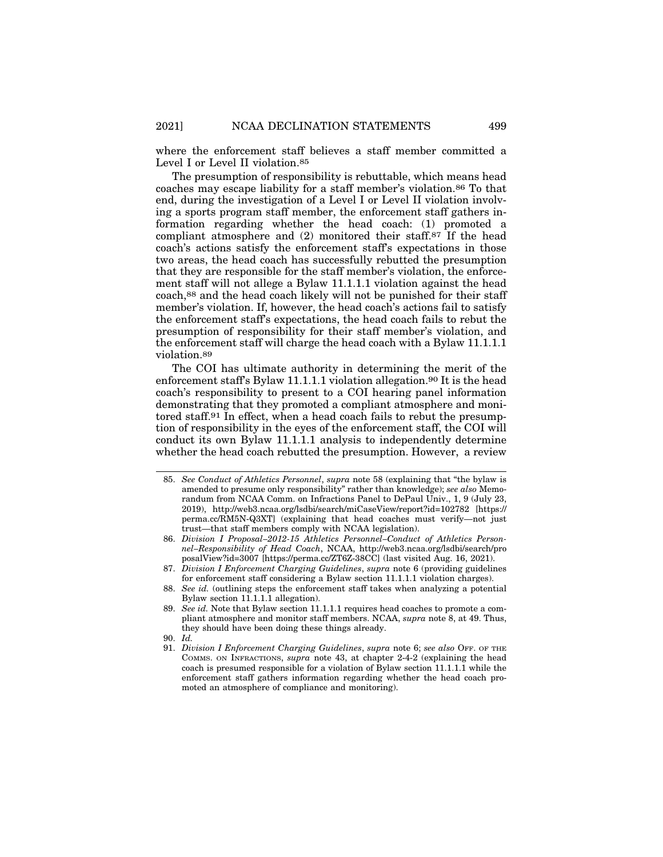where the enforcement staff believes a staff member committed a Level I or Level II violation.<sup>85</sup>

The presumption of responsibility is rebuttable, which means head coaches may escape liability for a staff member's violation.86 To that end, during the investigation of a Level I or Level II violation involving a sports program staff member, the enforcement staff gathers information regarding whether the head coach: (1) promoted a compliant atmosphere and (2) monitored their staff.87 If the head coach's actions satisfy the enforcement staff's expectations in those two areas, the head coach has successfully rebutted the presumption that they are responsible for the staff member's violation, the enforcement staff will not allege a Bylaw 11.1.1.1 violation against the head coach,88 and the head coach likely will not be punished for their staff member's violation. If, however, the head coach's actions fail to satisfy the enforcement staff's expectations, the head coach fails to rebut the presumption of responsibility for their staff member's violation, and the enforcement staff will charge the head coach with a Bylaw 11.1.1.1 violation.89

The COI has ultimate authority in determining the merit of the enforcement staff's Bylaw 11.1.1.1 violation allegation.90 It is the head coach's responsibility to present to a COI hearing panel information demonstrating that they promoted a compliant atmosphere and monitored staff.91 In effect, when a head coach fails to rebut the presumption of responsibility in the eyes of the enforcement staff, the COI will conduct its own Bylaw 11.1.1.1 analysis to independently determine whether the head coach rebutted the presumption. However, a review

90. *Id.*

<sup>85.</sup> *See Conduct of Athletics Personnel*, *supra* note 58 (explaining that "the bylaw is amended to presume only responsibility" rather than knowledge); *see also* Memorandum from NCAA Comm. on Infractions Panel to DePaul Univ., 1, 9 (July 23, 2019), http://web3.ncaa.org/lsdbi/search/miCaseView/report?id=102782 [https:// perma.cc/RM5N-Q3XT] (explaining that head coaches must verify—not just trust—that staff members comply with NCAA legislation).

<sup>86.</sup> *Division I Proposal–2012-15 Athletics Personnel–Conduct of Athletics Personnel–Responsibility of Head Coach*, NCAA, http://web3.ncaa.org/lsdbi/search/pro posalView?id=3007 [https://perma.cc/ZT6Z-38CC] (last visited Aug. 16, 2021).

<sup>87.</sup> *Division I Enforcement Charging Guidelines*, *supra* note 6 (providing guidelines for enforcement staff considering a Bylaw section 11.1.1.1 violation charges).

<sup>88.</sup> *See id.* (outlining steps the enforcement staff takes when analyzing a potential Bylaw section 11.1.1.1 allegation).

<sup>89.</sup> *See id.* Note that Bylaw section 11.1.1.1 requires head coaches to promote a compliant atmosphere and monitor staff members. NCAA, *supra* note 8, at 49. Thus, they should have been doing these things already.

<sup>91.</sup> *Division I Enforcement Charging Guidelines*, *supra* note 6; *see also* OFF. OF THE COMMS. ON INFRACTIONS, *supra* note 43, at chapter 2-4-2 (explaining the head coach is presumed responsible for a violation of Bylaw section 11.1.1.1 while the enforcement staff gathers information regarding whether the head coach promoted an atmosphere of compliance and monitoring).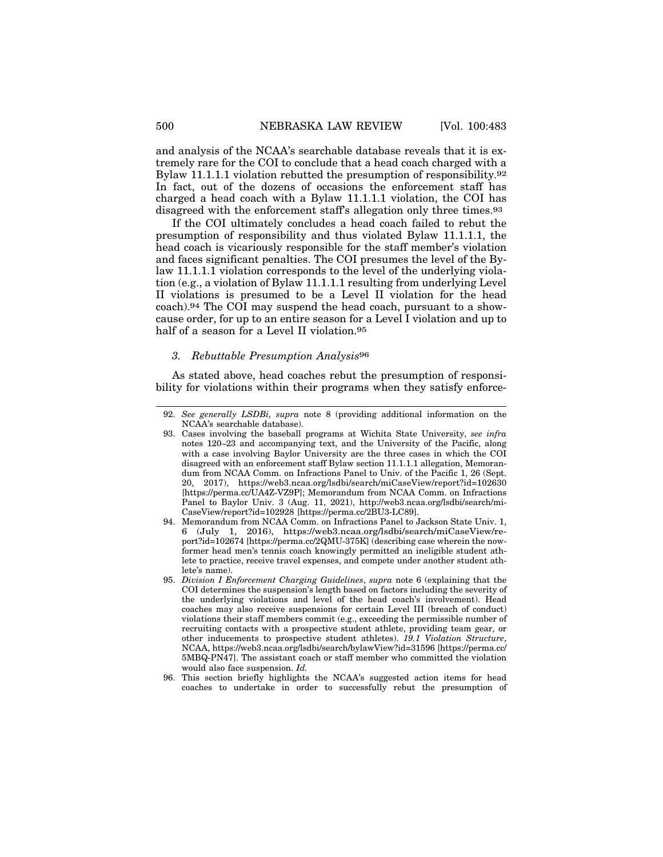and analysis of the NCAA's searchable database reveals that it is extremely rare for the COI to conclude that a head coach charged with a Bylaw 11.1.1.1 violation rebutted the presumption of responsibility.92 In fact, out of the dozens of occasions the enforcement staff has charged a head coach with a Bylaw 11.1.1.1 violation, the COI has disagreed with the enforcement staff's allegation only three times.<sup>93</sup>

If the COI ultimately concludes a head coach failed to rebut the presumption of responsibility and thus violated Bylaw 11.1.1.1, the head coach is vicariously responsible for the staff member's violation and faces significant penalties. The COI presumes the level of the Bylaw 11.1.1.1 violation corresponds to the level of the underlying violation (e.g., a violation of Bylaw 11.1.1.1 resulting from underlying Level II violations is presumed to be a Level II violation for the head coach).94 The COI may suspend the head coach, pursuant to a showcause order, for up to an entire season for a Level I violation and up to half of a season for a Level II violation.<sup>95</sup>

# *3. Rebuttable Presumption Analysis*96

As stated above, head coaches rebut the presumption of responsibility for violations within their programs when they satisfy enforce-

<sup>92.</sup> *See generally LSDBi, supra* note 8 (providing additional information on the NCAA's searchable database).

<sup>93.</sup> Cases involving the baseball programs at Wichita State University, *see infra* notes 120–23 and accompanying text, and the University of the Pacific, along with a case involving Baylor University are the three cases in which the COI disagreed with an enforcement staff Bylaw section 11.1.1.1 allegation, Memorandum from NCAA Comm. on Infractions Panel to Univ. of the Pacific 1, 26 (Sept. 20, 2017), https://web3.ncaa.org/lsdbi/search/miCaseView/report?id=102630 [https://perma.cc/UA4Z-VZ9P]; Memorandum from NCAA Comm. on Infractions Panel to Baylor Univ. 3 (Aug. 11, 2021), http://web3.ncaa.org/lsdbi/search/mi-CaseView/report?id=102928 [https://perma.cc/2BU3-LC89].

<sup>94.</sup> Memorandum from NCAA Comm. on Infractions Panel to Jackson State Univ. 1, 6 (July 1, 2016), https://web3.ncaa.org/lsdbi/search/miCaseView/report?id=102674 [https://perma.cc/2QMU-375K] (describing case wherein the nowformer head men's tennis coach knowingly permitted an ineligible student athlete to practice, receive travel expenses, and compete under another student athlete's name).

<sup>95.</sup> *Division I Enforcement Charging Guidelines*, *supra* note 6 (explaining that the COI determines the suspension's length based on factors including the severity of the underlying violations and level of the head coach's involvement). Head coaches may also receive suspensions for certain Level III (breach of conduct) violations their staff members commit (e.g., exceeding the permissible number of recruiting contacts with a prospective student athlete, providing team gear, or other inducements to prospective student athletes). *19.1 Violation Structure*, NCAA, https://web3.ncaa.org/lsdbi/search/bylawView?id=31596 [https://perma.cc/ 5MBQ-PN47]. The assistant coach or staff member who committed the violation would also face suspension. *Id.*

<sup>96.</sup> This section briefly highlights the NCAA's suggested action items for head coaches to undertake in order to successfully rebut the presumption of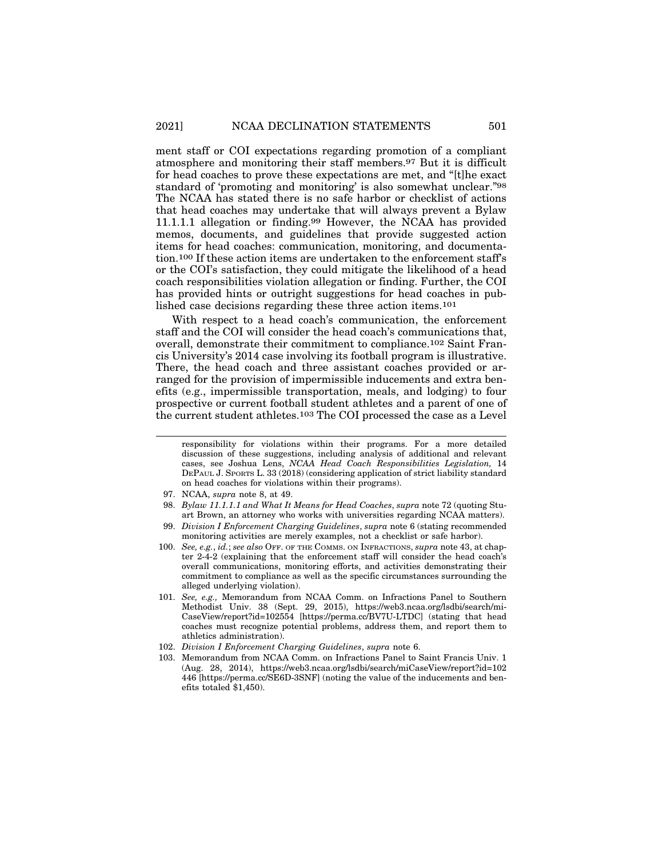ment staff or COI expectations regarding promotion of a compliant atmosphere and monitoring their staff members.97 But it is difficult for head coaches to prove these expectations are met, and "[t]he exact standard of 'promoting and monitoring' is also somewhat unclear."98 The NCAA has stated there is no safe harbor or checklist of actions that head coaches may undertake that will always prevent a Bylaw 11.1.1.1 allegation or finding.99 However, the NCAA has provided memos, documents, and guidelines that provide suggested action items for head coaches: communication, monitoring, and documentation.100 If these action items are undertaken to the enforcement staff's or the COI's satisfaction, they could mitigate the likelihood of a head coach responsibilities violation allegation or finding. Further, the COI has provided hints or outright suggestions for head coaches in published case decisions regarding these three action items.101

With respect to a head coach's communication, the enforcement staff and the COI will consider the head coach's communications that, overall, demonstrate their commitment to compliance.102 Saint Francis University's 2014 case involving its football program is illustrative. There, the head coach and three assistant coaches provided or arranged for the provision of impermissible inducements and extra benefits (e.g., impermissible transportation, meals, and lodging) to four prospective or current football student athletes and a parent of one of the current student athletes.103 The COI processed the case as a Level

responsibility for violations within their programs. For a more detailed discussion of these suggestions, including analysis of additional and relevant cases, see Joshua Lens, *NCAA Head Coach Responsibilities Legislation,* 14 DEPAUL J. SPORTS L. 33 (2018) (considering application of strict liability standard on head coaches for violations within their programs).

<sup>97.</sup> NCAA, *supra* note 8, at 49.

<sup>98.</sup> *Bylaw 11.1.1.1 and What It Means for Head Coaches*, *supra* note 72 (quoting Stuart Brown, an attorney who works with universities regarding NCAA matters).

<sup>99.</sup> *Division I Enforcement Charging Guidelines*, *supra* note 6 (stating recommended monitoring activities are merely examples, not a checklist or safe harbor).

<sup>100.</sup> *See, e.g.*, *id.*; *see also* OFF. OF THE COMMS. ON INFRACTIONS, *supra* note 43, at chapter 2-4-2 (explaining that the enforcement staff will consider the head coach's overall communications, monitoring efforts, and activities demonstrating their commitment to compliance as well as the specific circumstances surrounding the alleged underlying violation).

<sup>101.</sup> *See, e.g.,* Memorandum from NCAA Comm. on Infractions Panel to Southern Methodist Univ. 38 (Sept. 29, 2015), https://web3.ncaa.org/lsdbi/search/mi-CaseView/report?id=102554 [https://perma.cc/BV7U-LTDC] (stating that head coaches must recognize potential problems, address them, and report them to athletics administration).

<sup>102.</sup> *Division I Enforcement Charging Guidelines*, *supra* note 6.

<sup>103.</sup> Memorandum from NCAA Comm. on Infractions Panel to Saint Francis Univ. 1 (Aug. 28, 2014), https://web3.ncaa.org/lsdbi/search/miCaseView/report?id=102 446 [https://perma.cc/SE6D-3SNF] (noting the value of the inducements and benefits totaled \$1,450).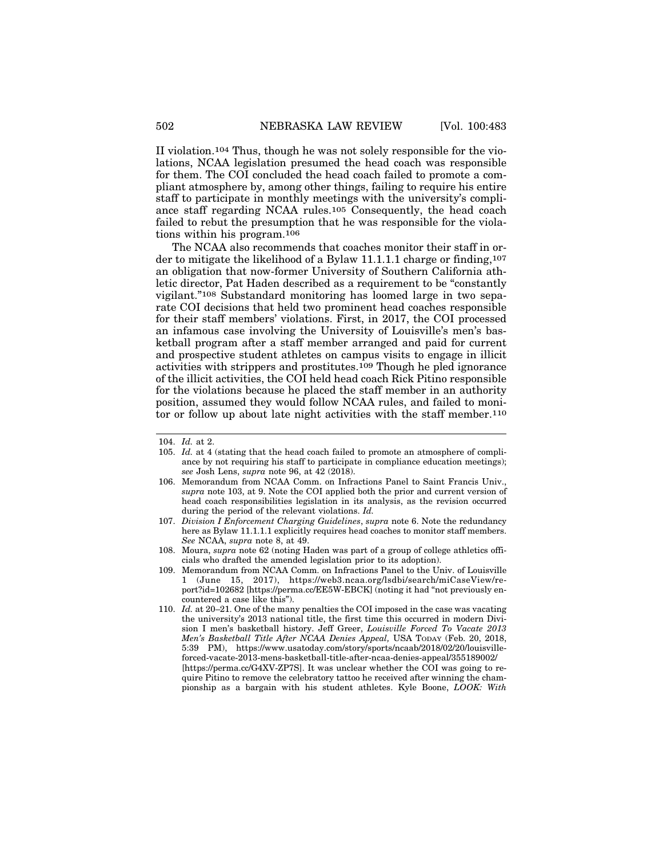II violation.104 Thus, though he was not solely responsible for the violations, NCAA legislation presumed the head coach was responsible for them. The COI concluded the head coach failed to promote a compliant atmosphere by, among other things, failing to require his entire staff to participate in monthly meetings with the university's compliance staff regarding NCAA rules.105 Consequently, the head coach failed to rebut the presumption that he was responsible for the violations within his program.106

The NCAA also recommends that coaches monitor their staff in order to mitigate the likelihood of a Bylaw 11.1.1.1 charge or finding,  $107$ an obligation that now-former University of Southern California athletic director, Pat Haden described as a requirement to be "constantly vigilant."108 Substandard monitoring has loomed large in two separate COI decisions that held two prominent head coaches responsible for their staff members' violations. First, in 2017, the COI processed an infamous case involving the University of Louisville's men's basketball program after a staff member arranged and paid for current and prospective student athletes on campus visits to engage in illicit activities with strippers and prostitutes.109 Though he pled ignorance of the illicit activities, the COI held head coach Rick Pitino responsible for the violations because he placed the staff member in an authority position, assumed they would follow NCAA rules, and failed to monitor or follow up about late night activities with the staff member.110

- 107. *Division I Enforcement Charging Guidelines*, *supra* note 6. Note the redundancy here as Bylaw 11.1.1.1 explicitly requires head coaches to monitor staff members. *See* NCAA, *supra* note 8, at 49.
- 108. Moura, *supra* note 62 (noting Haden was part of a group of college athletics officials who drafted the amended legislation prior to its adoption).
- 109. Memorandum from NCAA Comm. on Infractions Panel to the Univ. of Louisville 1 (June 15, 2017), https://web3.ncaa.org/lsdbi/search/miCaseView/report?id=102682 [https://perma.cc/EE5W-EBCK] (noting it had "not previously encountered a case like this").
- 110. *Id.* at 20–21. One of the many penalties the COI imposed in the case was vacating the university's 2013 national title, the first time this occurred in modern Division I men's basketball history. Jeff Greer, *Louisville Forced To Vacate 2013 Men's Basketball Title After NCAA Denies Appeal,* USA TODAY (Feb. 20, 2018, 5:39 PM), https://www.usatoday.com/story/sports/ncaab/2018/02/20/louisvilleforced-vacate-2013-mens-basketball-title-after-ncaa-denies-appeal/355189002/ [https://perma.cc/G4XV-ZP7S]. It was unclear whether the COI was going to require Pitino to remove the celebratory tattoo he received after winning the championship as a bargain with his student athletes. Kyle Boone, *LOOK: With*

<sup>104.</sup> *Id.* at 2.

<sup>105.</sup> *Id.* at 4 (stating that the head coach failed to promote an atmosphere of compliance by not requiring his staff to participate in compliance education meetings); *see* Josh Lens, *supra* note 96, at 42 (2018).

<sup>106.</sup> Memorandum from NCAA Comm. on Infractions Panel to Saint Francis Univ., *supra* note 103, at 9. Note the COI applied both the prior and current version of head coach responsibilities legislation in its analysis, as the revision occurred during the period of the relevant violations. *Id.*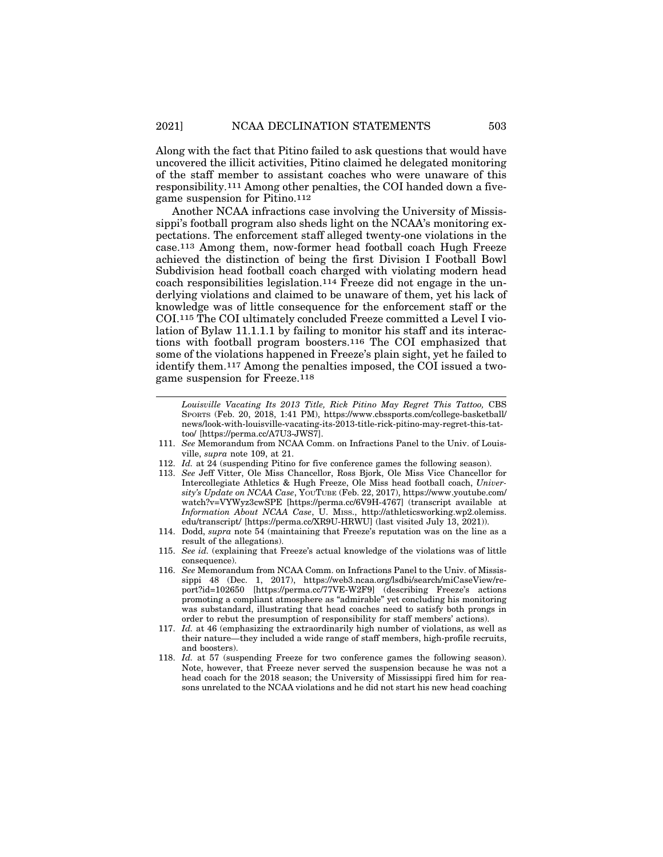Along with the fact that Pitino failed to ask questions that would have uncovered the illicit activities, Pitino claimed he delegated monitoring of the staff member to assistant coaches who were unaware of this responsibility.111 Among other penalties, the COI handed down a fivegame suspension for Pitino.112

Another NCAA infractions case involving the University of Mississippi's football program also sheds light on the NCAA's monitoring expectations. The enforcement staff alleged twenty-one violations in the case.113 Among them, now-former head football coach Hugh Freeze achieved the distinction of being the first Division I Football Bowl Subdivision head football coach charged with violating modern head coach responsibilities legislation.114 Freeze did not engage in the underlying violations and claimed to be unaware of them, yet his lack of knowledge was of little consequence for the enforcement staff or the COI.115 The COI ultimately concluded Freeze committed a Level I violation of Bylaw 11.1.1.1 by failing to monitor his staff and its interactions with football program boosters.116 The COI emphasized that some of the violations happened in Freeze's plain sight, yet he failed to identify them.117 Among the penalties imposed, the COI issued a twogame suspension for Freeze.118

- 111. *See* Memorandum from NCAA Comm. on Infractions Panel to the Univ. of Louisville, *supra* note 109, at 21.
- 112. *Id.* at 24 (suspending Pitino for five conference games the following season).
- 113. *See* Jeff Vitter, Ole Miss Chancellor, Ross Bjork, Ole Miss Vice Chancellor for Intercollegiate Athletics & Hugh Freeze, Ole Miss head football coach, *University's Update on NCAA Case*, YOUTUBE (Feb. 22, 2017), https://www.youtube.com/ watch?v=VYWyz3cwSPE [https://perma.cc/6V9H-4767] (transcript available at *Information About NCAA Case*, U. MISS., http://athleticsworking.wp2.olemiss. edu/transcript/ [https://perma.cc/XR9U-HRWU] (last visited July 13, 2021)).
- 114. Dodd, *supra* note 54 (maintaining that Freeze's reputation was on the line as a result of the allegations).
- 115. *See id.* (explaining that Freeze's actual knowledge of the violations was of little consequence).
- 116. *See* Memorandum from NCAA Comm. on Infractions Panel to the Univ. of Mississippi 48 (Dec. 1, 2017), https://web3.ncaa.org/lsdbi/search/miCaseView/report?id=102650 [https://perma.cc/77VE-W2F9] (describing Freeze's actions promoting a compliant atmosphere as "admirable" yet concluding his monitoring was substandard, illustrating that head coaches need to satisfy both prongs in order to rebut the presumption of responsibility for staff members' actions).
- 117. *Id.* at 46 (emphasizing the extraordinarily high number of violations, as well as their nature—they included a wide range of staff members, high-profile recruits, and boosters).
- 118. *Id.* at 57 (suspending Freeze for two conference games the following season). Note, however, that Freeze never served the suspension because he was not a head coach for the 2018 season; the University of Mississippi fired him for reasons unrelated to the NCAA violations and he did not start his new head coaching

*Louisville Vacating Its 2013 Title, Rick Pitino May Regret This Tattoo,* CBS SPORTS (Feb. 20, 2018, 1:41 PM), https://www.cbssports.com/college-basketball/ news/look-with-louisville-vacating-its-2013-title-rick-pitino-may-regret-this-tattoo/ [https://perma.cc/A7U3-JWS7].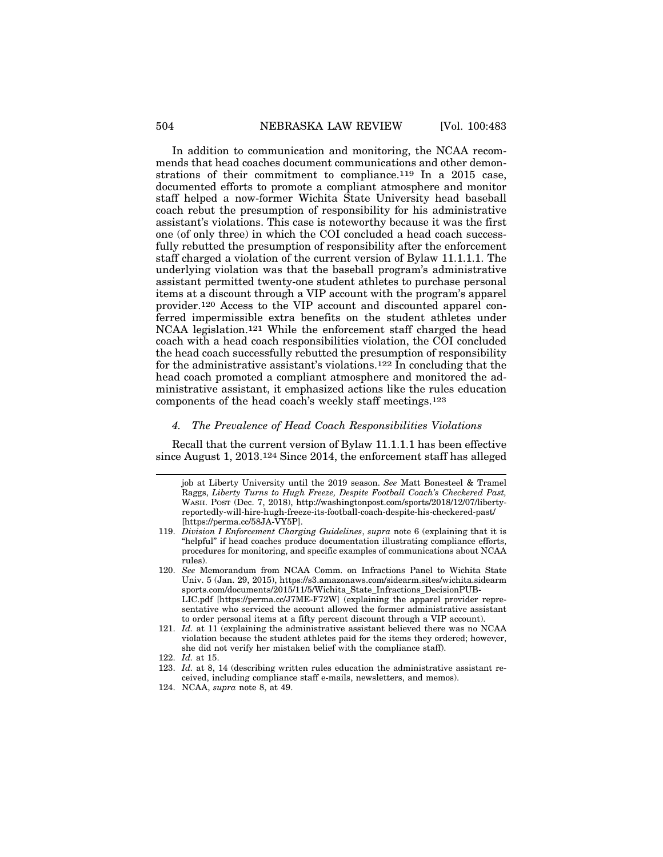In addition to communication and monitoring, the NCAA recommends that head coaches document communications and other demonstrations of their commitment to compliance.119 In a 2015 case, documented efforts to promote a compliant atmosphere and monitor staff helped a now-former Wichita State University head baseball coach rebut the presumption of responsibility for his administrative assistant's violations. This case is noteworthy because it was the first one (of only three) in which the COI concluded a head coach successfully rebutted the presumption of responsibility after the enforcement staff charged a violation of the current version of Bylaw 11.1.1.1. The underlying violation was that the baseball program's administrative assistant permitted twenty-one student athletes to purchase personal items at a discount through a VIP account with the program's apparel provider.120 Access to the VIP account and discounted apparel conferred impermissible extra benefits on the student athletes under NCAA legislation.121 While the enforcement staff charged the head coach with a head coach responsibilities violation, the COI concluded the head coach successfully rebutted the presumption of responsibility for the administrative assistant's violations.122 In concluding that the head coach promoted a compliant atmosphere and monitored the administrative assistant, it emphasized actions like the rules education components of the head coach's weekly staff meetings.123

## *4. The Prevalence of Head Coach Responsibilities Violations*

Recall that the current version of Bylaw 11.1.1.1 has been effective since August 1, 2013.124 Since 2014, the enforcement staff has alleged

- 119. *Division I Enforcement Charging Guidelines*, *supra* note 6 (explaining that it is "helpful" if head coaches produce documentation illustrating compliance efforts, procedures for monitoring, and specific examples of communications about NCAA rules).
- 120. *See* Memorandum from NCAA Comm. on Infractions Panel to Wichita State Univ. 5 (Jan. 29, 2015), https://s3.amazonaws.com/sidearm.sites/wichita.sidearm sports.com/documents/2015/11/5/Wichita\_State\_Infractions\_DecisionPUB-LIC.pdf [https://perma.cc/J7ME-F72W] (explaining the apparel provider representative who serviced the account allowed the former administrative assistant to order personal items at a fifty percent discount through a VIP account).
- 121. *Id.* at 11 (explaining the administrative assistant believed there was no NCAA violation because the student athletes paid for the items they ordered; however, she did not verify her mistaken belief with the compliance staff).
- 122. *Id.* at 15.
- 123. *Id.* at 8, 14 (describing written rules education the administrative assistant received, including compliance staff e-mails, newsletters, and memos).

job at Liberty University until the 2019 season. *See* Matt Bonesteel & Tramel Raggs, *Liberty Turns to Hugh Freeze, Despite Football Coach's Checkered Past,* WASH. POST (Dec. 7, 2018), http://washingtonpost.com/sports/2018/12/07/libertyreportedly-will-hire-hugh-freeze-its-football-coach-despite-his-checkered-past/ [https://perma.cc/58JA-VY5P].

<sup>124.</sup> NCAA, *supra* note 8, at 49.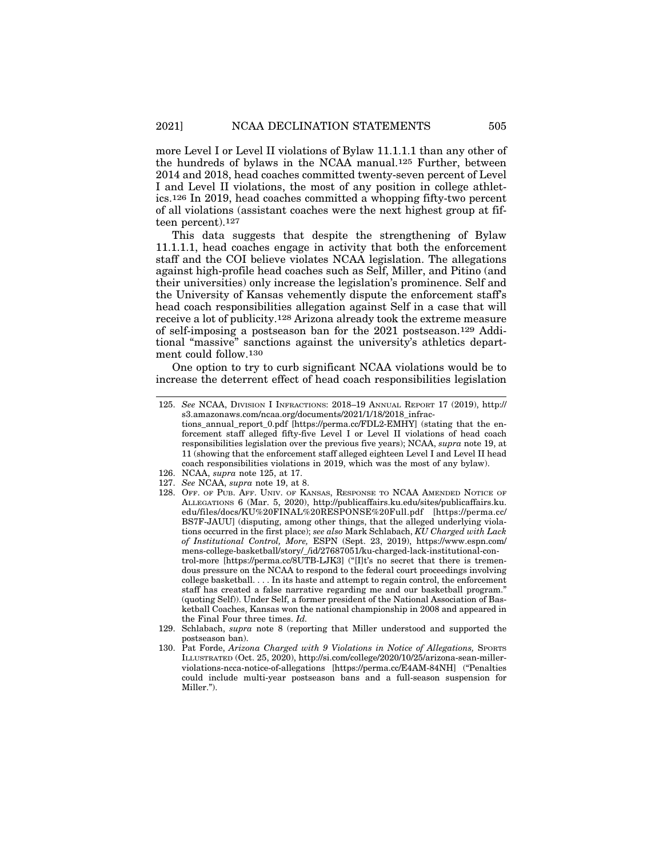more Level I or Level II violations of Bylaw 11.1.1.1 than any other of the hundreds of bylaws in the NCAA manual.125 Further, between 2014 and 2018, head coaches committed twenty-seven percent of Level I and Level II violations, the most of any position in college athletics.126 In 2019, head coaches committed a whopping fifty-two percent of all violations (assistant coaches were the next highest group at fifteen percent).127

This data suggests that despite the strengthening of Bylaw 11.1.1.1, head coaches engage in activity that both the enforcement staff and the COI believe violates NCAA legislation. The allegations against high-profile head coaches such as Self, Miller, and Pitino (and their universities) only increase the legislation's prominence. Self and the University of Kansas vehemently dispute the enforcement staff's head coach responsibilities allegation against Self in a case that will receive a lot of publicity.128 Arizona already took the extreme measure of self-imposing a postseason ban for the 2021 postseason.129 Additional "massive" sanctions against the university's athletics department could follow.130

One option to try to curb significant NCAA violations would be to increase the deterrent effect of head coach responsibilities legislation

- 127. *See* NCAA, *supra* note 19, at 8.
- 128. OFF. OF PUB. AFF. UNIV. OF KANSAS, RESPONSE TO NCAA AMENDED NOTICE OF ALLEGATIONS 6 (Mar. 5, 2020), http://publicaffairs.ku.edu/sites/publicaffairs.ku. edu/files/docs/KU%20FINAL%20RESPONSE%20Full.pdf [https://perma.cc/ BS7F-JAUU] (disputing, among other things, that the alleged underlying violations occurred in the first place); *see also* Mark Schlabach, *KU Charged with Lack of Institutional Control, More,* ESPN (Sept. 23, 2019), https://www.espn.com/ mens-college-basketball/story/\_/id/27687051/ku-charged-lack-institutional-control-more [https://perma.cc/8UTB-LJK3] ("[I]t's no secret that there is tremendous pressure on the NCAA to respond to the federal court proceedings involving college basketball. . . . In its haste and attempt to regain control, the enforcement staff has created a false narrative regarding me and our basketball program." (quoting Self)). Under Self, a former president of the National Association of Basketball Coaches, Kansas won the national championship in 2008 and appeared in the Final Four three times. *Id.*
- 129. Schlabach, *supra* note 8 (reporting that Miller understood and supported the postseason ban).
- 130. Pat Forde, *Arizona Charged with 9 Violations in Notice of Allegations,* SPORTS ILLUSTRATED (Oct. 25, 2020), http://si.com/college/2020/10/25/arizona-sean-millerviolations-ncca-notice-of-allegations [https://perma.cc/E4AM-84NH] ("Penalties could include multi-year postseason bans and a full-season suspension for Miller.").

<sup>125.</sup> *See* NCAA, DIVISION I INFRACTIONS: 2018–19 ANNUAL REPORT 17 (2019), http:// s3.amazonaws.com/ncaa.org/documents/2021/1/18/2018\_infractions\_annual\_report\_0.pdf [https://perma.cc/FDL2-EMHY] (stating that the enforcement staff alleged fifty-five Level I or Level II violations of head coach responsibilities legislation over the previous five years); NCAA, *supra* note 19, at 11 (showing that the enforcement staff alleged eighteen Level I and Level II head coach responsibilities violations in 2019, which was the most of any bylaw).

<sup>126.</sup> NCAA, *supra* note 125, at 17.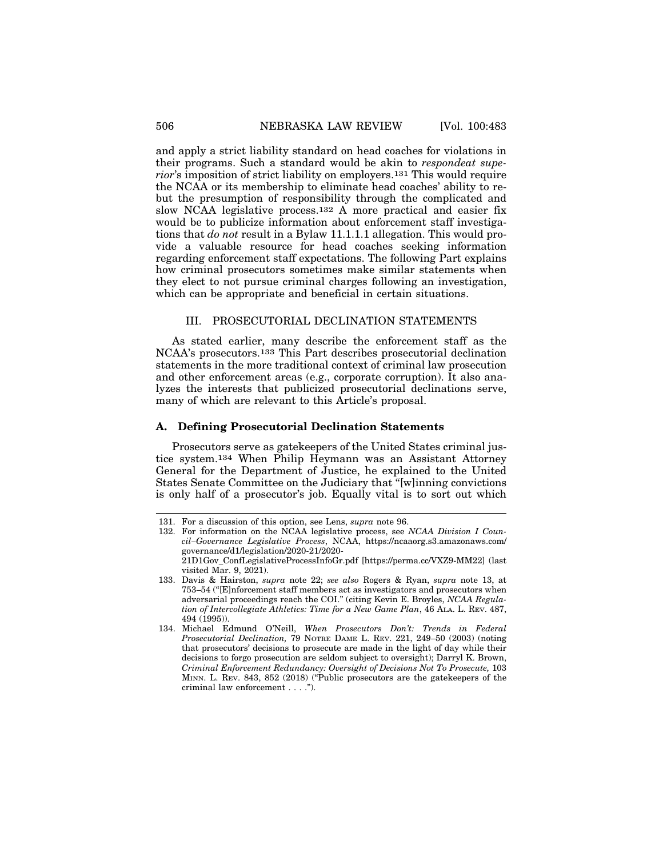and apply a strict liability standard on head coaches for violations in their programs. Such a standard would be akin to *respondeat superior*'s imposition of strict liability on employers.131 This would require the NCAA or its membership to eliminate head coaches' ability to rebut the presumption of responsibility through the complicated and slow NCAA legislative process.132 A more practical and easier fix would be to publicize information about enforcement staff investigations that *do not* result in a Bylaw 11.1.1.1 allegation. This would provide a valuable resource for head coaches seeking information regarding enforcement staff expectations. The following Part explains how criminal prosecutors sometimes make similar statements when they elect to not pursue criminal charges following an investigation, which can be appropriate and beneficial in certain situations.

# III. PROSECUTORIAL DECLINATION STATEMENTS

As stated earlier, many describe the enforcement staff as the NCAA's prosecutors.133 This Part describes prosecutorial declination statements in the more traditional context of criminal law prosecution and other enforcement areas (e.g., corporate corruption). It also analyzes the interests that publicized prosecutorial declinations serve, many of which are relevant to this Article's proposal.

#### **A. Defining Prosecutorial Declination Statements**

Prosecutors serve as gatekeepers of the United States criminal justice system.134 When Philip Heymann was an Assistant Attorney General for the Department of Justice, he explained to the United States Senate Committee on the Judiciary that "[w]inning convictions is only half of a prosecutor's job. Equally vital is to sort out which

<sup>131.</sup> For a discussion of this option, see Lens, *supra* note 96.

<sup>132.</sup> For information on the NCAA legislative process, see *NCAA Division I Council–Governance Legislative Process*, NCAA, https://ncaaorg.s3.amazonaws.com/ governance/d1/legislation/2020-21/2020- 21D1Gov\_ConfLegislativeProcessInfoGr.pdf [https://perma.cc/VXZ9-MM22] (last

visited Mar. 9, 2021).

<sup>133.</sup> Davis & Hairston, *supra* note 22; *see also* Rogers & Ryan, *supra* note 13, at 753–54 ("[E]nforcement staff members act as investigators and prosecutors when adversarial proceedings reach the COI." (citing Kevin E. Broyles, *NCAA Regulation of Intercollegiate Athletics: Time for a New Game Plan*, 46 ALA. L. REV. 487, 494 (1995)).

<sup>134.</sup> Michael Edmund O'Neill, *When Prosecutors Don't: Trends in Federal Prosecutorial Declination,* 79 NOTRE DAME L. REV. 221, 249–50 (2003) (noting that prosecutors' decisions to prosecute are made in the light of day while their decisions to forgo prosecution are seldom subject to oversight); Darryl K. Brown, *Criminal Enforcement Redundancy: Oversight of Decisions Not To Prosecute,* 103 MINN. L. REV. 843, 852 (2018) ("Public prosecutors are the gatekeepers of the criminal law enforcement . . . .").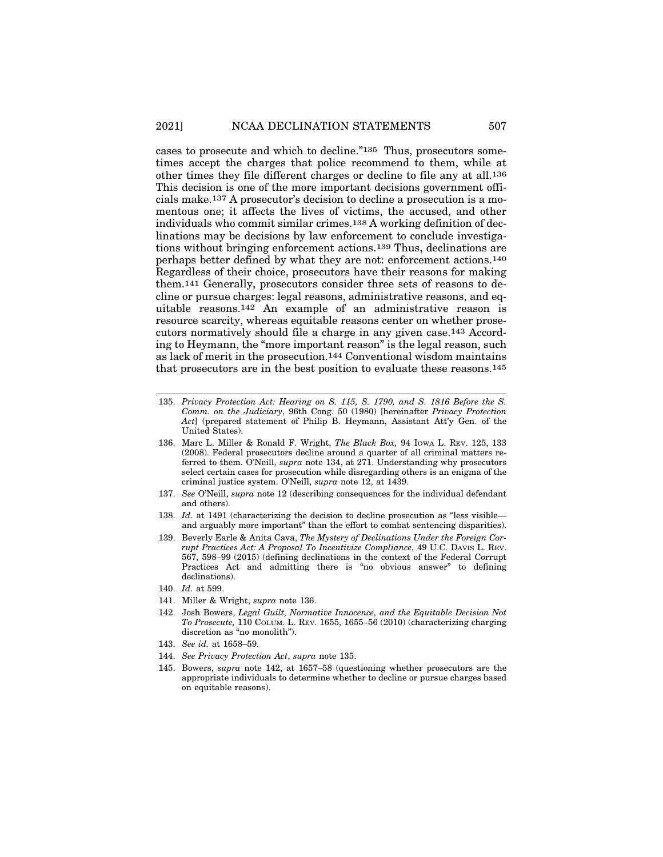cases to prosecute and which to decline."135 Thus, prosecutors sometimes accept the charges that police recommend to them, while at other times they file different charges or decline to file any at all.136 This decision is one of the more important decisions government officials make.137 A prosecutor's decision to decline a prosecution is a momentous one; it affects the lives of victims, the accused, and other individuals who commit similar crimes.138 A working definition of declinations may be decisions by law enforcement to conclude investigations without bringing enforcement actions.139 Thus, declinations are perhaps better defined by what they are not: enforcement actions.140 Regardless of their choice, prosecutors have their reasons for making them.141 Generally, prosecutors consider three sets of reasons to decline or pursue charges: legal reasons, administrative reasons, and equitable reasons.142 An example of an administrative reason is resource scarcity, whereas equitable reasons center on whether prosecutors normatively should file a charge in any given case.143 According to Heymann, the "more important reason" is the legal reason, such as lack of merit in the prosecution.144 Conventional wisdom maintains that prosecutors are in the best position to evaluate these reasons.145

- 135. *Privacy Protection Act: Hearing on S. 115, S. 1790, and S. 1816 Before the S. Comm. on the Judiciary*, 96th Cong. 50 (1980) [hereinafter *Privacy Protection Act*] (prepared statement of Philip B. Heymann, Assistant Att'y Gen. of the United States).
- 136. Marc L. Miller & Ronald F. Wright, *The Black Box,* 94 IOWA L. REV. 125, 133 (2008). Federal prosecutors decline around a quarter of all criminal matters referred to them. O'Neill, *supra* note 134, at 271. Understanding why prosecutors select certain cases for prosecution while disregarding others is an enigma of the criminal justice system. O'Neill, *supra* note 12, at 1439.
- 137. *See* O'Neill, *supra* note 12 (describing consequences for the individual defendant and others).
- 138. *Id.* at 1491 (characterizing the decision to decline prosecution as "less visible and arguably more important" than the effort to combat sentencing disparities).
- 139. Beverly Earle & Anita Cava, *The Mystery of Declinations Under the Foreign Corrupt Practices Act: A Proposal To Incentivize Compliance,* 49 U.C. DAVIS L. REV. 567, 598–99 (2015) (defining declinations in the context of the Federal Corrupt Practices Act and admitting there is "no obvious answer" to defining declinations).
- 140. *Id.* at 599.
- 141. Miller & Wright, *supra* note 136.
- 142. Josh Bowers, *Legal Guilt, Normative Innocence, and the Equitable Decision Not To Prosecute,* 110 COLUM. L. REV. 1655, 1655–56 (2010) (characterizing charging discretion as "no monolith").
- 143. *See id.* at 1658–59.
- 144. *See Privacy Protection Act*, *supra* note 135.
- 145. Bowers, *supra* note 142, at 1657–58 (questioning whether prosecutors are the appropriate individuals to determine whether to decline or pursue charges based on equitable reasons).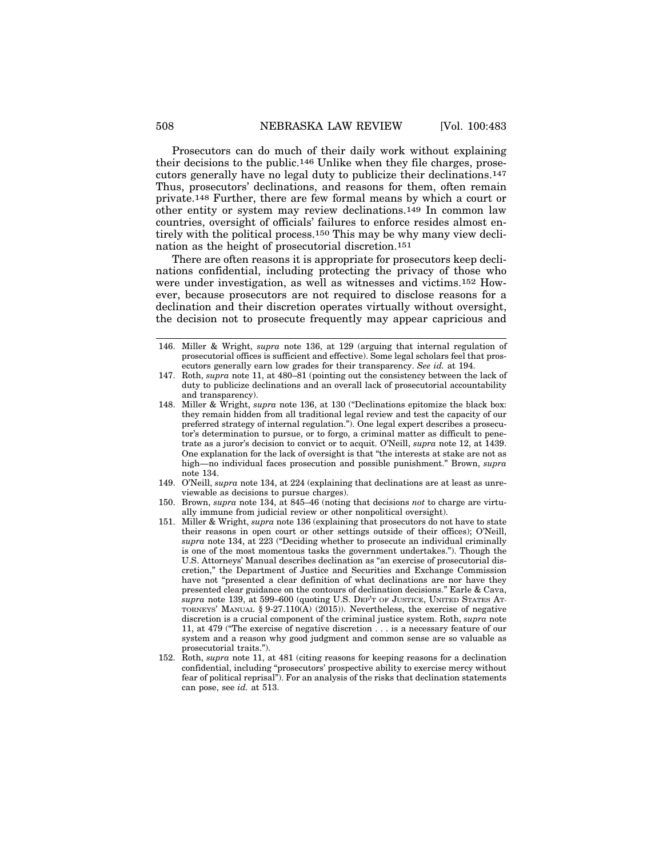Prosecutors can do much of their daily work without explaining their decisions to the public.146 Unlike when they file charges, prosecutors generally have no legal duty to publicize their declinations.147 Thus, prosecutors' declinations, and reasons for them, often remain private.148 Further, there are few formal means by which a court or other entity or system may review declinations.149 In common law countries, oversight of officials' failures to enforce resides almost entirely with the political process.150 This may be why many view declination as the height of prosecutorial discretion.151

There are often reasons it is appropriate for prosecutors keep declinations confidential, including protecting the privacy of those who were under investigation, as well as witnesses and victims.152 However, because prosecutors are not required to disclose reasons for a declination and their discretion operates virtually without oversight, the decision not to prosecute frequently may appear capricious and

- 149. O'Neill, *supra* note 134, at 224 (explaining that declinations are at least as unreviewable as decisions to pursue charges).
- 150. Brown, *supra* note 134, at 845–46 (noting that decisions *not* to charge are virtually immune from judicial review or other nonpolitical oversight).
- 151. Miller & Wright, *supra* note 136 (explaining that prosecutors do not have to state their reasons in open court or other settings outside of their offices); O'Neill, *supra* note 134, at 223 ("Deciding whether to prosecute an individual criminally is one of the most momentous tasks the government undertakes."). Though the U.S. Attorneys' Manual describes declination as "an exercise of prosecutorial discretion," the Department of Justice and Securities and Exchange Commission have not "presented a clear definition of what declinations are nor have they presented clear guidance on the contours of declination decisions." Earle & Cava, *supra* note 139, at 599–600 (quoting U.S. DEP'T OF JUSTICE, UNITED STATES AT-TORNEYS' MANUAL  $\S 9-27.110(A)$  (2015)). Nevertheless, the exercise of negative discretion is a crucial component of the criminal justice system. Roth, *supra* note 11, at 479 ("The exercise of negative discretion . . . is a necessary feature of our system and a reason why good judgment and common sense are so valuable as prosecutorial traits.").
- 152. Roth, *supra* note 11, at 481 (citing reasons for keeping reasons for a declination confidential, including "prosecutors' prospective ability to exercise mercy without fear of political reprisal"). For an analysis of the risks that declination statements can pose, see *id.* at 513.

<sup>146.</sup> Miller & Wright, *supra* note 136, at 129 (arguing that internal regulation of prosecutorial offices is sufficient and effective). Some legal scholars feel that prosecutors generally earn low grades for their transparency. *See id.* at 194.

<sup>147.</sup> Roth, *supra* note 11, at 480–81 (pointing out the consistency between the lack of duty to publicize declinations and an overall lack of prosecutorial accountability and transparency).

<sup>148.</sup> Miller & Wright, *supra* note 136, at 130 ("Declinations epitomize the black box: they remain hidden from all traditional legal review and test the capacity of our preferred strategy of internal regulation."). One legal expert describes a prosecutor's determination to pursue, or to forgo, a criminal matter as difficult to penetrate as a juror's decision to convict or to acquit. O'Neill, *supra* note 12, at 1439. One explanation for the lack of oversight is that "the interests at stake are not as high—no individual faces prosecution and possible punishment." Brown, *supra* note 134.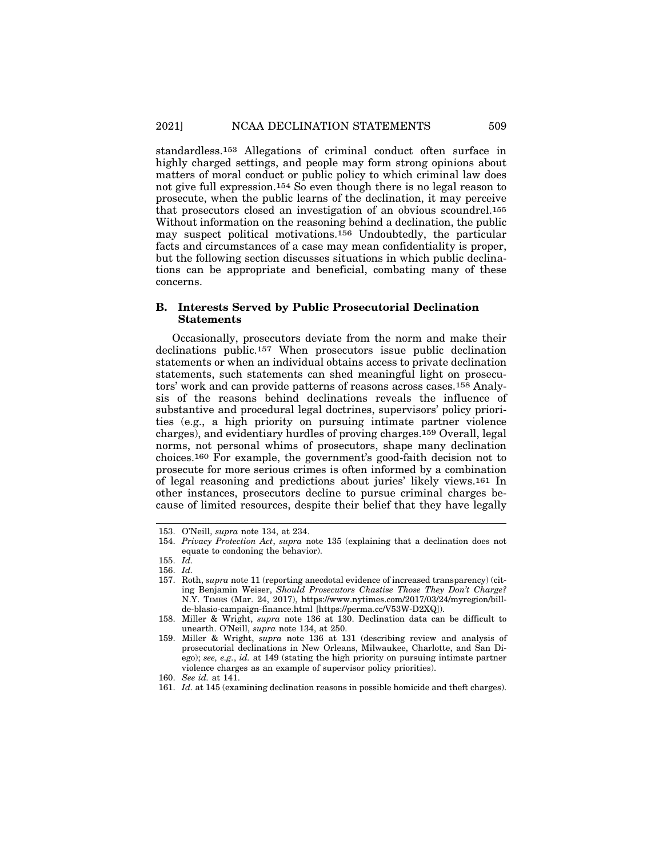standardless.153 Allegations of criminal conduct often surface in highly charged settings, and people may form strong opinions about matters of moral conduct or public policy to which criminal law does not give full expression.154 So even though there is no legal reason to prosecute, when the public learns of the declination, it may perceive that prosecutors closed an investigation of an obvious scoundrel.155 Without information on the reasoning behind a declination, the public may suspect political motivations.156 Undoubtedly, the particular facts and circumstances of a case may mean confidentiality is proper, but the following section discusses situations in which public declinations can be appropriate and beneficial, combating many of these concerns.

# **B. Interests Served by Public Prosecutorial Declination Statements**

Occasionally, prosecutors deviate from the norm and make their declinations public.157 When prosecutors issue public declination statements or when an individual obtains access to private declination statements, such statements can shed meaningful light on prosecutors' work and can provide patterns of reasons across cases.158 Analysis of the reasons behind declinations reveals the influence of substantive and procedural legal doctrines, supervisors' policy priorities (e.g., a high priority on pursuing intimate partner violence charges), and evidentiary hurdles of proving charges.159 Overall, legal norms, not personal whims of prosecutors, shape many declination choices.160 For example, the government's good-faith decision not to prosecute for more serious crimes is often informed by a combination of legal reasoning and predictions about juries' likely views.161 In other instances, prosecutors decline to pursue criminal charges because of limited resources, despite their belief that they have legally

<sup>153.</sup> O'Neill, *supra* note 134, at 234.

<sup>154.</sup> *Privacy Protection Act*, *supra* note 135 (explaining that a declination does not equate to condoning the behavior).

<sup>155.</sup> *Id.*

<sup>156.</sup> *Id.*

<sup>157.</sup> Roth, *supra* note 11 (reporting anecdotal evidence of increased transparency) (citing Benjamin Weiser, *Should Prosecutors Chastise Those They Don't Charge?* N.Y. TIMES (Mar. 24, 2017), https://www.nytimes.com/2017/03/24/myregion/billde-blasio-campaign-finance.html [https://perma.cc/V53W-D2XQ]).

<sup>158.</sup> Miller & Wright, *supra* note 136 at 130. Declination data can be difficult to unearth. O'Neill, *supra* note 134, at 250.

<sup>159.</sup> Miller & Wright, *supra* note 136 at 131 (describing review and analysis of prosecutorial declinations in New Orleans, Milwaukee, Charlotte, and San Diego); *see, e.g.*, *id.* at 149 (stating the high priority on pursuing intimate partner violence charges as an example of supervisor policy priorities).

<sup>160.</sup> *See id.* at 141.

<sup>161.</sup> *Id.* at 145 (examining declination reasons in possible homicide and theft charges).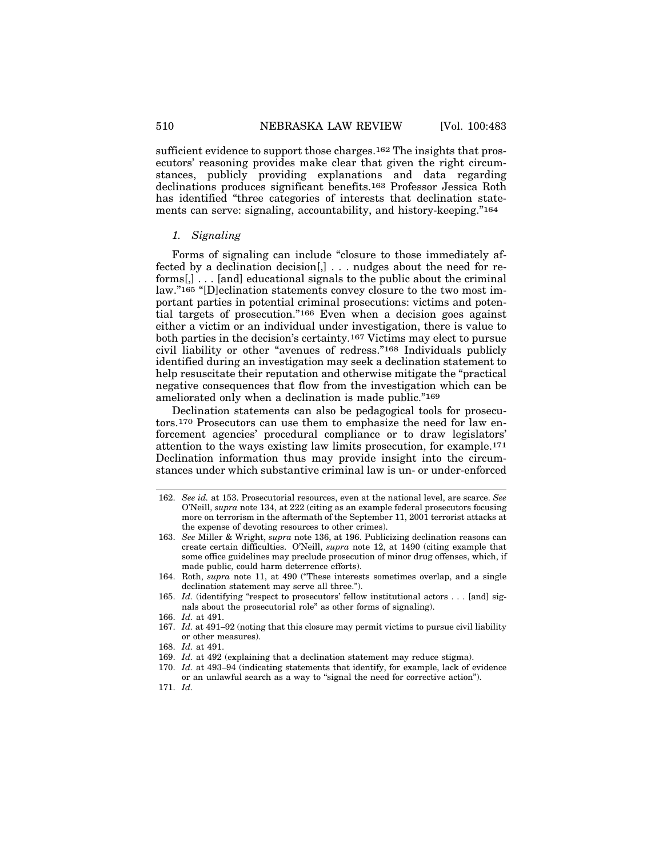sufficient evidence to support those charges.162 The insights that prosecutors' reasoning provides make clear that given the right circumstances, publicly providing explanations and data regarding declinations produces significant benefits.163 Professor Jessica Roth has identified "three categories of interests that declination statements can serve: signaling, accountability, and history-keeping."164

#### *1. Signaling*

Forms of signaling can include "closure to those immediately affected by a declination decision[,] . . . nudges about the need for reforms[,] . . . [and] educational signals to the public about the criminal law."165 "[D]eclination statements convey closure to the two most important parties in potential criminal prosecutions: victims and potential targets of prosecution."166 Even when a decision goes against either a victim or an individual under investigation, there is value to both parties in the decision's certainty.167 Victims may elect to pursue civil liability or other "avenues of redress."168 Individuals publicly identified during an investigation may seek a declination statement to help resuscitate their reputation and otherwise mitigate the "practical negative consequences that flow from the investigation which can be ameliorated only when a declination is made public."169

Declination statements can also be pedagogical tools for prosecutors.170 Prosecutors can use them to emphasize the need for law enforcement agencies' procedural compliance or to draw legislators' attention to the ways existing law limits prosecution, for example.171 Declination information thus may provide insight into the circumstances under which substantive criminal law is un- or under-enforced

163. *See* Miller & Wright, *supra* note 136, at 196. Publicizing declination reasons can create certain difficulties. O'Neill, *supra* note 12, at 1490 (citing example that some office guidelines may preclude prosecution of minor drug offenses, which, if made public, could harm deterrence efforts).

- 165. *Id.* (identifying "respect to prosecutors' fellow institutional actors . . . [and] signals about the prosecutorial role" as other forms of signaling).
- 166. *Id.* at 491.
- 167. *Id.* at 491–92 (noting that this closure may permit victims to pursue civil liability or other measures).
- 168. *Id.* at 491.
- 169. *Id.* at 492 (explaining that a declination statement may reduce stigma).
- 170. *Id.* at 493–94 (indicating statements that identify, for example, lack of evidence or an unlawful search as a way to "signal the need for corrective action").
- 171. *Id.*

<sup>162.</sup> *See id.* at 153. Prosecutorial resources, even at the national level, are scarce. *See* O'Neill, *supra* note 134, at 222 (citing as an example federal prosecutors focusing more on terrorism in the aftermath of the September 11, 2001 terrorist attacks at the expense of devoting resources to other crimes).

<sup>164.</sup> Roth, *supra* note 11, at 490 ("These interests sometimes overlap, and a single declination statement may serve all three.").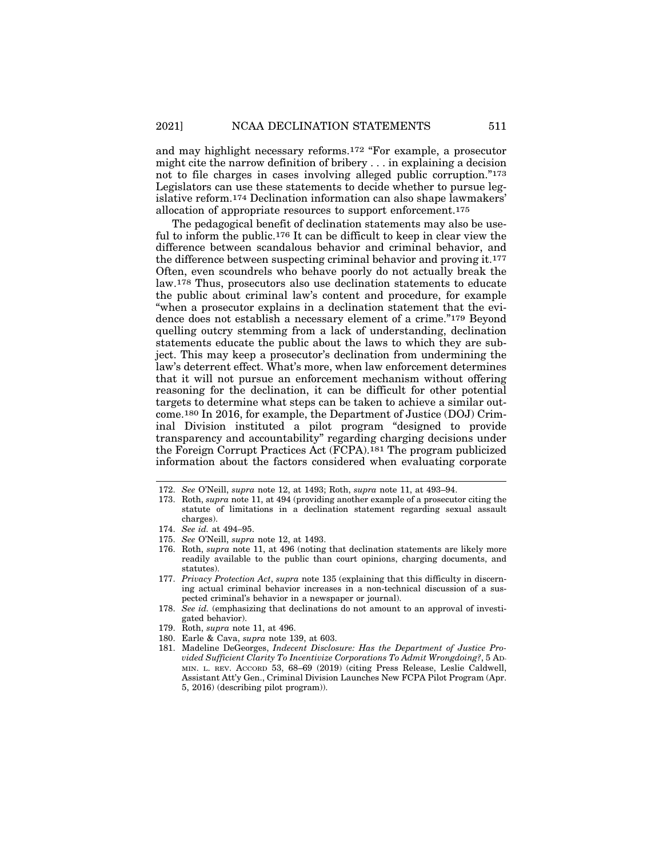and may highlight necessary reforms.172 "For example, a prosecutor might cite the narrow definition of bribery . . . in explaining a decision not to file charges in cases involving alleged public corruption."173 Legislators can use these statements to decide whether to pursue legislative reform.174 Declination information can also shape lawmakers' allocation of appropriate resources to support enforcement.175

The pedagogical benefit of declination statements may also be useful to inform the public.176 It can be difficult to keep in clear view the difference between scandalous behavior and criminal behavior, and the difference between suspecting criminal behavior and proving it.177 Often, even scoundrels who behave poorly do not actually break the law.178 Thus, prosecutors also use declination statements to educate the public about criminal law's content and procedure, for example "when a prosecutor explains in a declination statement that the evidence does not establish a necessary element of a crime."179 Beyond quelling outcry stemming from a lack of understanding, declination statements educate the public about the laws to which they are subject. This may keep a prosecutor's declination from undermining the law's deterrent effect. What's more, when law enforcement determines that it will not pursue an enforcement mechanism without offering reasoning for the declination, it can be difficult for other potential targets to determine what steps can be taken to achieve a similar outcome.180 In 2016, for example, the Department of Justice (DOJ) Criminal Division instituted a pilot program "designed to provide transparency and accountability" regarding charging decisions under the Foreign Corrupt Practices Act (FCPA).181 The program publicized information about the factors considered when evaluating corporate

- 176. Roth, *supra* note 11, at 496 (noting that declination statements are likely more readily available to the public than court opinions, charging documents, and statutes).
- 177. *Privacy Protection Act*, *supra* note 135 (explaining that this difficulty in discerning actual criminal behavior increases in a non-technical discussion of a suspected criminal's behavior in a newspaper or journal).
- 178. *See id.* (emphasizing that declinations do not amount to an approval of investigated behavior).
- 179. Roth, *supra* note 11, at 496.
- 180. Earle & Cava, *supra* note 139, at 603.
- 181. Madeline DeGeorges, *Indecent Disclosure: Has the Department of Justice Provided Sufficient Clarity To Incentivize Corporations To Admit Wrongdoing?*, 5 AD-MIN. L. REV. ACCORD 53, 68–69 (2019) (citing Press Release, Leslie Caldwell, Assistant Att'y Gen., Criminal Division Launches New FCPA Pilot Program (Apr. 5, 2016) (describing pilot program)).

<sup>172.</sup> *See* O'Neill, *supra* note 12, at 1493; Roth, *supra* note 11, at 493–94.

<sup>173.</sup> Roth, *supra* note 11, at 494 (providing another example of a prosecutor citing the statute of limitations in a declination statement regarding sexual assault charges).

<sup>174.</sup> *See id.* at 494–95.

<sup>175.</sup> *See* O'Neill, *supra* note 12, at 1493.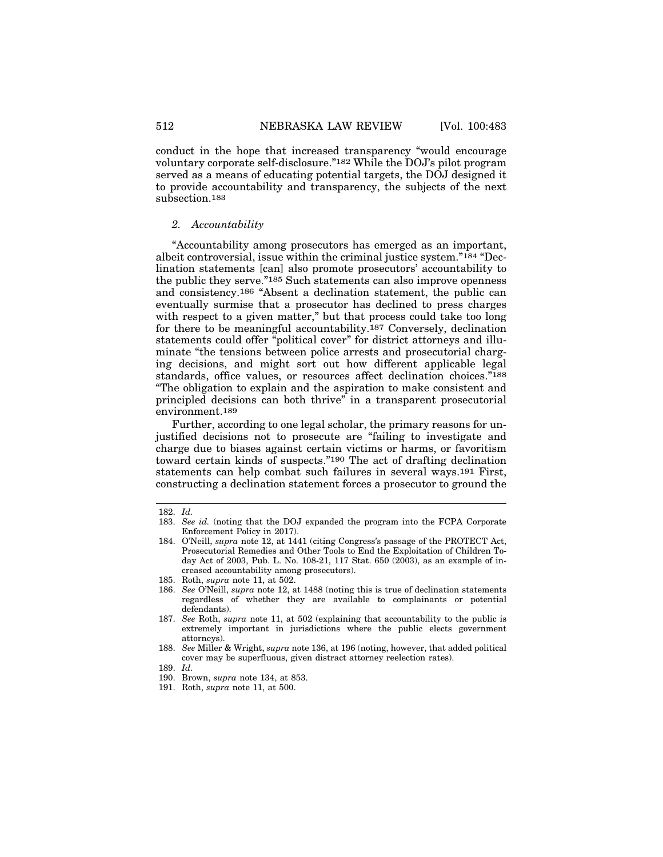conduct in the hope that increased transparency "would encourage voluntary corporate self-disclosure."182 While the DOJ's pilot program served as a means of educating potential targets, the DOJ designed it to provide accountability and transparency, the subjects of the next subsection.183

#### *2. Accountability*

"Accountability among prosecutors has emerged as an important, albeit controversial, issue within the criminal justice system."184 "Declination statements [can] also promote prosecutors' accountability to the public they serve."185 Such statements can also improve openness and consistency.186 "Absent a declination statement, the public can eventually surmise that a prosecutor has declined to press charges with respect to a given matter," but that process could take too long for there to be meaningful accountability.187 Conversely, declination statements could offer "political cover" for district attorneys and illuminate "the tensions between police arrests and prosecutorial charging decisions, and might sort out how different applicable legal standards, office values, or resources affect declination choices."188 "The obligation to explain and the aspiration to make consistent and principled decisions can both thrive" in a transparent prosecutorial environment.189

Further, according to one legal scholar, the primary reasons for unjustified decisions not to prosecute are "failing to investigate and charge due to biases against certain victims or harms, or favoritism toward certain kinds of suspects."190 The act of drafting declination statements can help combat such failures in several ways.191 First, constructing a declination statement forces a prosecutor to ground the

<sup>182.</sup> *Id.*

<sup>183.</sup> *See id.* (noting that the DOJ expanded the program into the FCPA Corporate Enforcement Policy in 2017).

<sup>184.</sup> O'Neill, *supra* note 12, at 1441 (citing Congress's passage of the PROTECT Act, Prosecutorial Remedies and Other Tools to End the Exploitation of Children Today Act of 2003, Pub. L. No. 108-21, 117 Stat. 650 (2003), as an example of increased accountability among prosecutors).

<sup>185.</sup> Roth, *supra* note 11, at 502.

<sup>186.</sup> *See* O'Neill, *supra* note 12, at 1488 (noting this is true of declination statements regardless of whether they are available to complainants or potential defendants).

<sup>187.</sup> *See* Roth, *supra* note 11, at 502 (explaining that accountability to the public is extremely important in jurisdictions where the public elects government attorneys).

<sup>188.</sup> *See* Miller & Wright, *supra* note 136, at 196 (noting, however, that added political cover may be superfluous, given distract attorney reelection rates).

<sup>189.</sup> *Id.*

<sup>190.</sup> Brown, *supra* note 134, at 853.

<sup>191.</sup> Roth, *supra* note 11, at 500.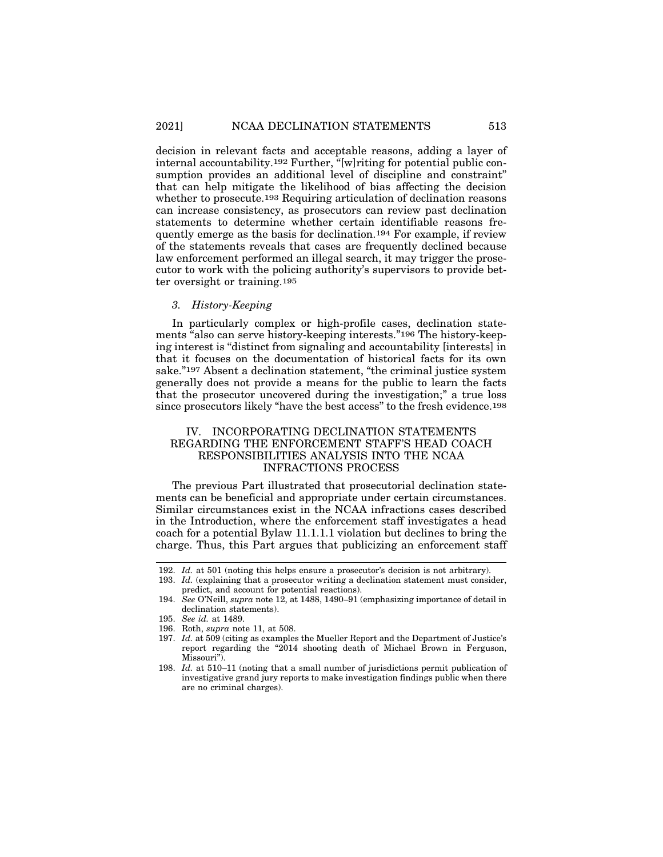decision in relevant facts and acceptable reasons, adding a layer of internal accountability.192 Further, "[w]riting for potential public consumption provides an additional level of discipline and constraint" that can help mitigate the likelihood of bias affecting the decision whether to prosecute.<sup>193</sup> Requiring articulation of declination reasons can increase consistency, as prosecutors can review past declination statements to determine whether certain identifiable reasons frequently emerge as the basis for declination.194 For example, if review of the statements reveals that cases are frequently declined because law enforcement performed an illegal search, it may trigger the prosecutor to work with the policing authority's supervisors to provide better oversight or training.195

# *3. History-Keeping*

In particularly complex or high-profile cases, declination statements "also can serve history-keeping interests."196 The history-keeping interest is "distinct from signaling and accountability [interests] in that it focuses on the documentation of historical facts for its own sake."197 Absent a declination statement, "the criminal justice system generally does not provide a means for the public to learn the facts that the prosecutor uncovered during the investigation;" a true loss since prosecutors likely "have the best access" to the fresh evidence.198

# IV. INCORPORATING DECLINATION STATEMENTS REGARDING THE ENFORCEMENT STAFF'S HEAD COACH RESPONSIBILITIES ANALYSIS INTO THE NCAA INFRACTIONS PROCESS

The previous Part illustrated that prosecutorial declination statements can be beneficial and appropriate under certain circumstances. Similar circumstances exist in the NCAA infractions cases described in the Introduction, where the enforcement staff investigates a head coach for a potential Bylaw 11.1.1.1 violation but declines to bring the charge. Thus, this Part argues that publicizing an enforcement staff

<sup>192.</sup> *Id.* at 501 (noting this helps ensure a prosecutor's decision is not arbitrary).

<sup>193.</sup> *Id.* (explaining that a prosecutor writing a declination statement must consider, predict, and account for potential reactions).

<sup>194.</sup> *See* O'Neill, *supra* note 12, at 1488, 1490–91 (emphasizing importance of detail in declination statements).

<sup>195.</sup> *See id.* at 1489.

<sup>196.</sup> Roth, *supra* note 11, at 508.

<sup>197.</sup> *Id.* at 509 (citing as examples the Mueller Report and the Department of Justice's report regarding the "2014 shooting death of Michael Brown in Ferguson, Missouri").

<sup>198.</sup> *Id.* at 510–11 (noting that a small number of jurisdictions permit publication of investigative grand jury reports to make investigation findings public when there are no criminal charges).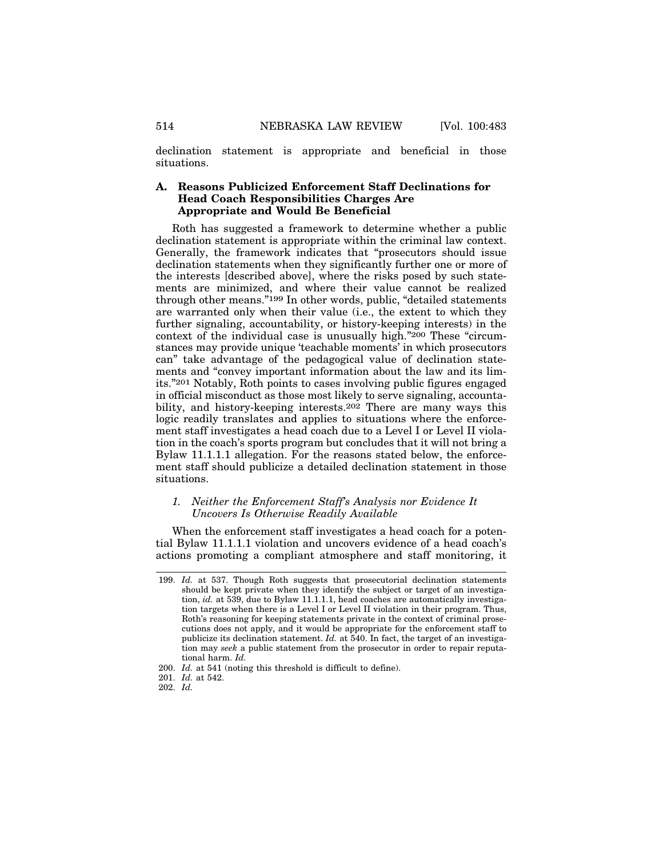declination statement is appropriate and beneficial in those situations.

# **A. Reasons Publicized Enforcement Staff Declinations for Head Coach Responsibilities Charges Are Appropriate and Would Be Beneficial**

Roth has suggested a framework to determine whether a public declination statement is appropriate within the criminal law context. Generally, the framework indicates that "prosecutors should issue declination statements when they significantly further one or more of the interests [described above], where the risks posed by such statements are minimized, and where their value cannot be realized through other means."199 In other words, public, "detailed statements are warranted only when their value (i.e., the extent to which they further signaling, accountability, or history-keeping interests) in the context of the individual case is unusually high."200 These "circumstances may provide unique 'teachable moments' in which prosecutors can" take advantage of the pedagogical value of declination statements and "convey important information about the law and its limits."201 Notably, Roth points to cases involving public figures engaged in official misconduct as those most likely to serve signaling, accountability, and history-keeping interests.202 There are many ways this logic readily translates and applies to situations where the enforcement staff investigates a head coach due to a Level I or Level II violation in the coach's sports program but concludes that it will not bring a Bylaw 11.1.1.1 allegation. For the reasons stated below, the enforcement staff should publicize a detailed declination statement in those situations.

#### *1. Neither the Enforcement Staff's Analysis nor Evidence It Uncovers Is Otherwise Readily Available*

When the enforcement staff investigates a head coach for a potential Bylaw 11.1.1.1 violation and uncovers evidence of a head coach's actions promoting a compliant atmosphere and staff monitoring, it

<sup>199.</sup> *Id.* at 537. Though Roth suggests that prosecutorial declination statements should be kept private when they identify the subject or target of an investigation, *id.* at 539, due to Bylaw 11.1.1.1, head coaches are automatically investigation targets when there is a Level I or Level II violation in their program. Thus, Roth's reasoning for keeping statements private in the context of criminal prosecutions does not apply, and it would be appropriate for the enforcement staff to publicize its declination statement. *Id.* at 540. In fact, the target of an investigation may *seek* a public statement from the prosecutor in order to repair reputational harm. *Id.*

<sup>200.</sup> *Id.* at 541 (noting this threshold is difficult to define).

<sup>201.</sup> *Id.* at 542.

<sup>202.</sup> *Id.*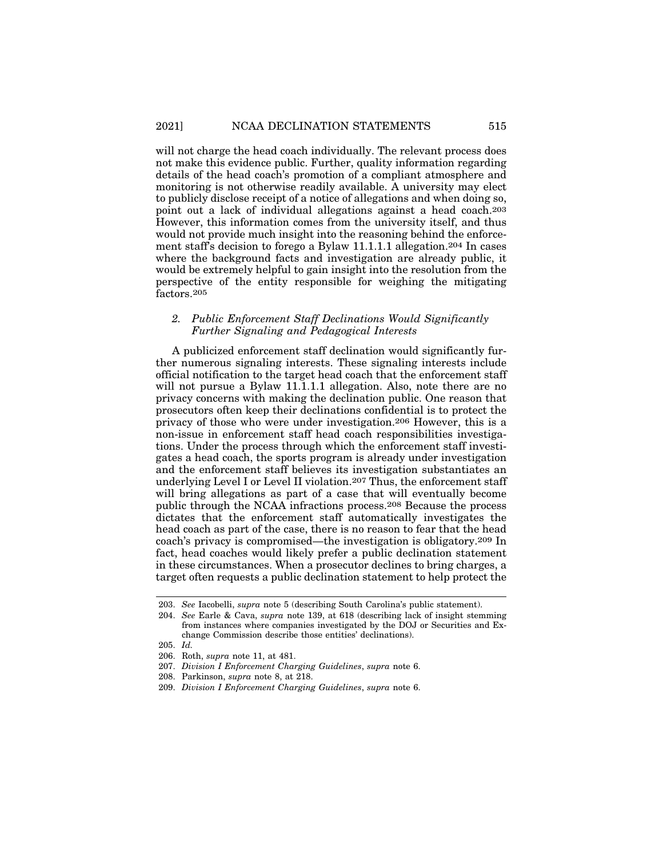will not charge the head coach individually. The relevant process does not make this evidence public. Further, quality information regarding details of the head coach's promotion of a compliant atmosphere and monitoring is not otherwise readily available. A university may elect to publicly disclose receipt of a notice of allegations and when doing so, point out a lack of individual allegations against a head coach.203 However, this information comes from the university itself, and thus would not provide much insight into the reasoning behind the enforcement staff's decision to forego a Bylaw 11.1.1.1 allegation.204 In cases where the background facts and investigation are already public, it would be extremely helpful to gain insight into the resolution from the perspective of the entity responsible for weighing the mitigating factors.205

# *2. Public Enforcement Staff Declinations Would Significantly Further Signaling and Pedagogical Interests*

A publicized enforcement staff declination would significantly further numerous signaling interests. These signaling interests include official notification to the target head coach that the enforcement staff will not pursue a Bylaw 11.1.1.1 allegation. Also, note there are no privacy concerns with making the declination public. One reason that prosecutors often keep their declinations confidential is to protect the privacy of those who were under investigation.206 However, this is a non-issue in enforcement staff head coach responsibilities investigations. Under the process through which the enforcement staff investigates a head coach, the sports program is already under investigation and the enforcement staff believes its investigation substantiates an underlying Level I or Level II violation.<sup>207</sup> Thus, the enforcement staff will bring allegations as part of a case that will eventually become public through the NCAA infractions process.208 Because the process dictates that the enforcement staff automatically investigates the head coach as part of the case, there is no reason to fear that the head coach's privacy is compromised—the investigation is obligatory.209 In fact, head coaches would likely prefer a public declination statement in these circumstances. When a prosecutor declines to bring charges, a target often requests a public declination statement to help protect the

<sup>203.</sup> *See* Iacobelli, *supra* note 5 (describing South Carolina's public statement).

<sup>204.</sup> *See* Earle & Cava, *supra* note 139, at 618 (describing lack of insight stemming from instances where companies investigated by the DOJ or Securities and Exchange Commission describe those entities' declinations).

<sup>205.</sup> *Id.*

<sup>206.</sup> Roth, *supra* note 11, at 481.

<sup>207.</sup> *Division I Enforcement Charging Guidelines*, *supra* note 6.

<sup>208.</sup> Parkinson, *supra* note 8, at 218.

<sup>209.</sup> *Division I Enforcement Charging Guidelines*, *supra* note 6.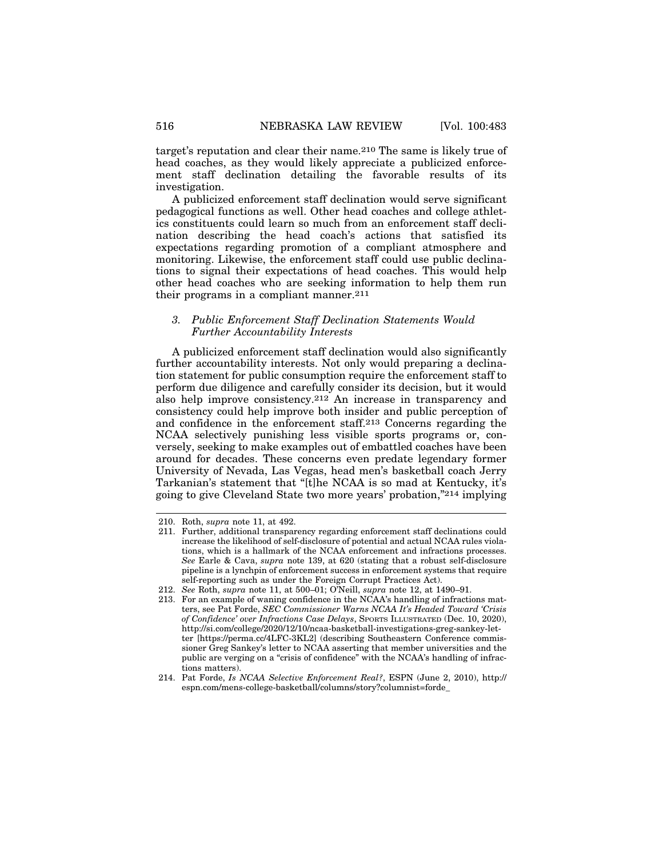target's reputation and clear their name.210 The same is likely true of head coaches, as they would likely appreciate a publicized enforcement staff declination detailing the favorable results of its investigation.

A publicized enforcement staff declination would serve significant pedagogical functions as well. Other head coaches and college athletics constituents could learn so much from an enforcement staff declination describing the head coach's actions that satisfied its expectations regarding promotion of a compliant atmosphere and monitoring. Likewise, the enforcement staff could use public declinations to signal their expectations of head coaches. This would help other head coaches who are seeking information to help them run their programs in a compliant manner.211

# *3. Public Enforcement Staff Declination Statements Would Further Accountability Interests*

A publicized enforcement staff declination would also significantly further accountability interests. Not only would preparing a declination statement for public consumption require the enforcement staff to perform due diligence and carefully consider its decision, but it would also help improve consistency.212 An increase in transparency and consistency could help improve both insider and public perception of and confidence in the enforcement staff.213 Concerns regarding the NCAA selectively punishing less visible sports programs or, conversely, seeking to make examples out of embattled coaches have been around for decades. These concerns even predate legendary former University of Nevada, Las Vegas, head men's basketball coach Jerry Tarkanian's statement that "[t]he NCAA is so mad at Kentucky, it's going to give Cleveland State two more years' probation,"214 implying

<sup>210.</sup> Roth, *supra* note 11, at 492.

<sup>211.</sup> Further, additional transparency regarding enforcement staff declinations could increase the likelihood of self-disclosure of potential and actual NCAA rules violations, which is a hallmark of the NCAA enforcement and infractions processes. *See* Earle & Cava, *supra* note 139, at 620 (stating that a robust self-disclosure pipeline is a lynchpin of enforcement success in enforcement systems that require self-reporting such as under the Foreign Corrupt Practices Act).

<sup>212.</sup> *See* Roth, *supra* note 11, at 500–01; O'Neill, *supra* note 12, at 1490–91.

<sup>213.</sup> For an example of waning confidence in the NCAA's handling of infractions matters, see Pat Forde, *SEC Commissioner Warns NCAA It's Headed Toward 'Crisis of Confidence' over Infractions Case Delays*, SPORTS ILLUSTRATED (Dec. 10, 2020), http://si.com/college/2020/12/10/ncaa-basketball-investigations-greg-sankey-letter [https://perma.cc/4LFC-3KL2] (describing Southeastern Conference commissioner Greg Sankey's letter to NCAA asserting that member universities and the public are verging on a "crisis of confidence" with the NCAA's handling of infractions matters).

<sup>214.</sup> Pat Forde, *Is NCAA Selective Enforcement Real?*, ESPN (June 2, 2010), http:// espn.com/mens-college-basketball/columns/story?columnist=forde\_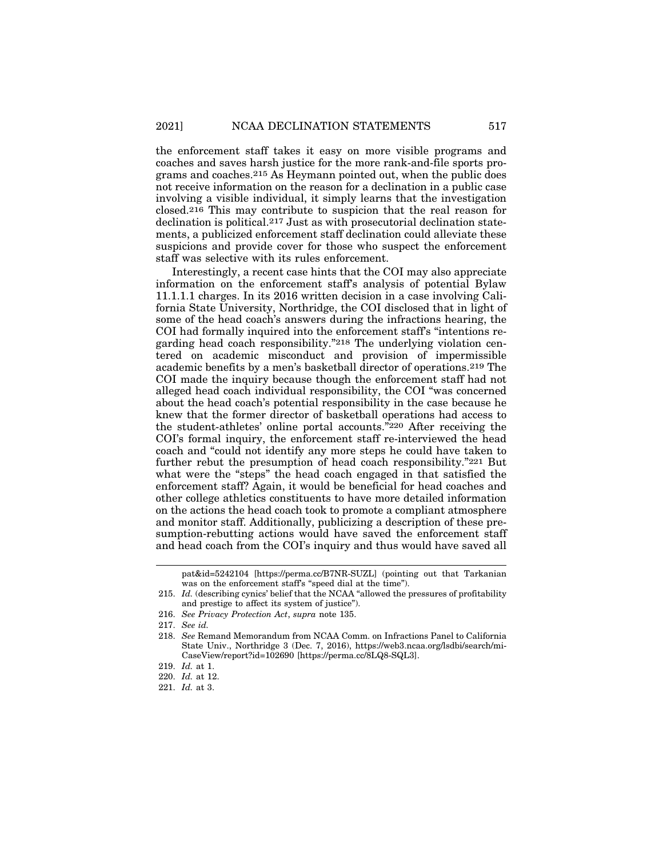the enforcement staff takes it easy on more visible programs and coaches and saves harsh justice for the more rank-and-file sports programs and coaches.215 As Heymann pointed out, when the public does not receive information on the reason for a declination in a public case involving a visible individual, it simply learns that the investigation closed.216 This may contribute to suspicion that the real reason for declination is political.217 Just as with prosecutorial declination statements, a publicized enforcement staff declination could alleviate these suspicions and provide cover for those who suspect the enforcement staff was selective with its rules enforcement.

Interestingly, a recent case hints that the COI may also appreciate information on the enforcement staff's analysis of potential Bylaw 11.1.1.1 charges. In its 2016 written decision in a case involving California State University, Northridge, the COI disclosed that in light of some of the head coach's answers during the infractions hearing, the COI had formally inquired into the enforcement staff's "intentions regarding head coach responsibility."218 The underlying violation centered on academic misconduct and provision of impermissible academic benefits by a men's basketball director of operations.219 The COI made the inquiry because though the enforcement staff had not alleged head coach individual responsibility, the COI "was concerned about the head coach's potential responsibility in the case because he knew that the former director of basketball operations had access to the student-athletes' online portal accounts."220 After receiving the COI's formal inquiry, the enforcement staff re-interviewed the head coach and "could not identify any more steps he could have taken to further rebut the presumption of head coach responsibility."221 But what were the "steps" the head coach engaged in that satisfied the enforcement staff? Again, it would be beneficial for head coaches and other college athletics constituents to have more detailed information on the actions the head coach took to promote a compliant atmosphere and monitor staff. Additionally, publicizing a description of these presumption-rebutting actions would have saved the enforcement staff and head coach from the COI's inquiry and thus would have saved all

216. *See Privacy Protection Act*, *supra* note 135.

pat&id=5242104 [https://perma.cc/B7NR-SUZL] (pointing out that Tarkanian was on the enforcement staff's "speed dial at the time").

<sup>215.</sup> *Id.* (describing cynics' belief that the NCAA "allowed the pressures of profitability and prestige to affect its system of justice").

<sup>217.</sup> *See id.*

<sup>218.</sup> *See* Remand Memorandum from NCAA Comm. on Infractions Panel to California State Univ., Northridge 3 (Dec. 7, 2016), https://web3.ncaa.org/lsdbi/search/mi-CaseView/report?id=102690 [https://perma.cc/8LQ8-SQL3].

<sup>219.</sup> *Id.* at 1.

<sup>220.</sup> *Id.* at 12.

<sup>221.</sup> *Id.* at 3.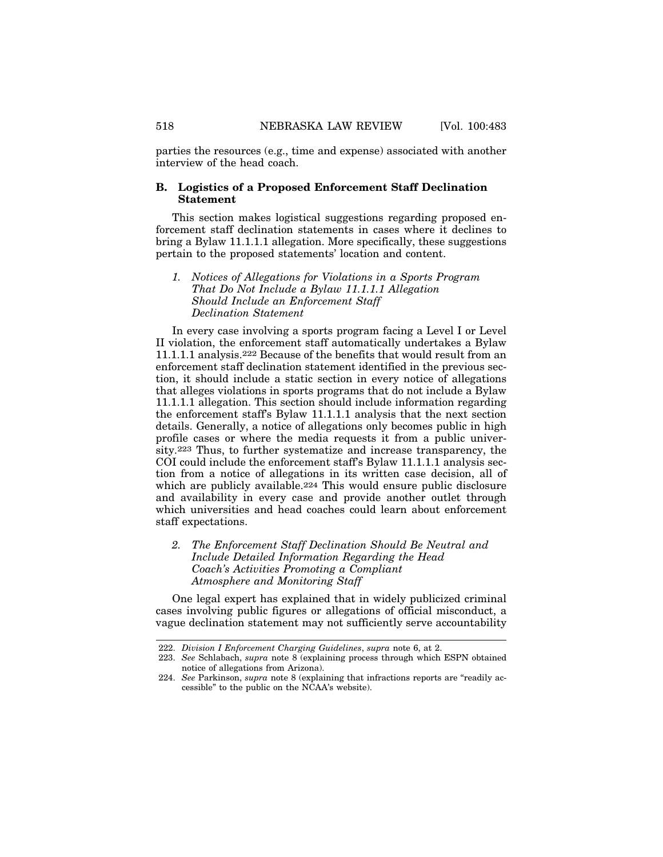parties the resources (e.g., time and expense) associated with another interview of the head coach.

# **B. Logistics of a Proposed Enforcement Staff Declination Statement**

This section makes logistical suggestions regarding proposed enforcement staff declination statements in cases where it declines to bring a Bylaw 11.1.1.1 allegation. More specifically, these suggestions pertain to the proposed statements' location and content.

*1. Notices of Allegations for Violations in a Sports Program That Do Not Include a Bylaw 11.1.1.1 Allegation Should Include an Enforcement Staff Declination Statement*

In every case involving a sports program facing a Level I or Level II violation, the enforcement staff automatically undertakes a Bylaw 11.1.1.1 analysis.222 Because of the benefits that would result from an enforcement staff declination statement identified in the previous section, it should include a static section in every notice of allegations that alleges violations in sports programs that do not include a Bylaw 11.1.1.1 allegation. This section should include information regarding the enforcement staff's Bylaw 11.1.1.1 analysis that the next section details. Generally, a notice of allegations only becomes public in high profile cases or where the media requests it from a public university.223 Thus, to further systematize and increase transparency, the COI could include the enforcement staff's Bylaw 11.1.1.1 analysis section from a notice of allegations in its written case decision, all of which are publicly available.<sup>224</sup> This would ensure public disclosure and availability in every case and provide another outlet through which universities and head coaches could learn about enforcement staff expectations.

*2. The Enforcement Staff Declination Should Be Neutral and Include Detailed Information Regarding the Head Coach's Activities Promoting a Compliant Atmosphere and Monitoring Staff*

One legal expert has explained that in widely publicized criminal cases involving public figures or allegations of official misconduct, a vague declination statement may not sufficiently serve accountability

<sup>222.</sup> *Division I Enforcement Charging Guidelines*, *supra* note 6, at 2.

<sup>223.</sup> *See* Schlabach, *supra* note 8 (explaining process through which ESPN obtained notice of allegations from Arizona).

<sup>224.</sup> *See* Parkinson, *supra* note 8 (explaining that infractions reports are "readily accessible" to the public on the NCAA's website).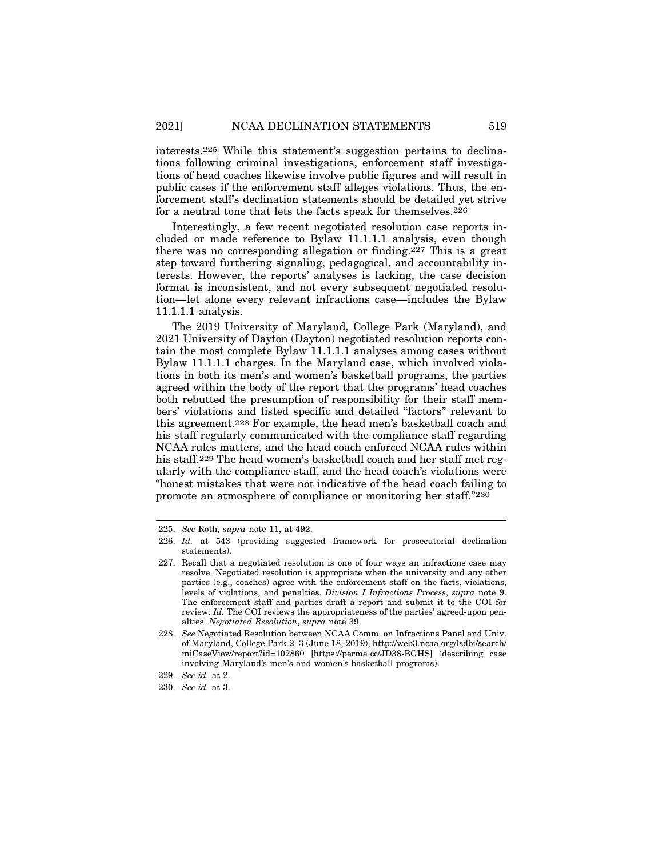interests.225 While this statement's suggestion pertains to declinations following criminal investigations, enforcement staff investigations of head coaches likewise involve public figures and will result in public cases if the enforcement staff alleges violations. Thus, the enforcement staff's declination statements should be detailed yet strive for a neutral tone that lets the facts speak for themselves.226

Interestingly, a few recent negotiated resolution case reports included or made reference to Bylaw 11.1.1.1 analysis, even though there was no corresponding allegation or finding.227 This is a great step toward furthering signaling, pedagogical, and accountability interests. However, the reports' analyses is lacking, the case decision format is inconsistent, and not every subsequent negotiated resolution—let alone every relevant infractions case—includes the Bylaw 11.1.1.1 analysis.

The 2019 University of Maryland, College Park (Maryland), and 2021 University of Dayton (Dayton) negotiated resolution reports contain the most complete Bylaw 11.1.1.1 analyses among cases without Bylaw 11.1.1.1 charges. In the Maryland case, which involved violations in both its men's and women's basketball programs, the parties agreed within the body of the report that the programs' head coaches both rebutted the presumption of responsibility for their staff members' violations and listed specific and detailed "factors" relevant to this agreement.228 For example, the head men's basketball coach and his staff regularly communicated with the compliance staff regarding NCAA rules matters, and the head coach enforced NCAA rules within his staff.229 The head women's basketball coach and her staff met regularly with the compliance staff, and the head coach's violations were "honest mistakes that were not indicative of the head coach failing to promote an atmosphere of compliance or monitoring her staff."230

<sup>225.</sup> *See* Roth, *supra* note 11, at 492.

<sup>226.</sup> *Id.* at 543 (providing suggested framework for prosecutorial declination statements).

<sup>227.</sup> Recall that a negotiated resolution is one of four ways an infractions case may resolve. Negotiated resolution is appropriate when the university and any other parties (e.g., coaches) agree with the enforcement staff on the facts, violations, levels of violations, and penalties. *Division I Infractions Process*, *supra* note 9. The enforcement staff and parties draft a report and submit it to the COI for review. *Id.* The COI reviews the appropriateness of the parties' agreed-upon penalties. *Negotiated Resolution*, *supra* note 39.

<sup>228.</sup> *See* Negotiated Resolution between NCAA Comm. on Infractions Panel and Univ. of Maryland, College Park 2–3 (June 18, 2019), http://web3.ncaa.org/lsdbi/search/ miCaseView/report?id=102860 [https://perma.cc/JD38-BGHS] (describing case involving Maryland's men's and women's basketball programs).

<sup>229.</sup> *See id.* at 2.

<sup>230.</sup> *See id.* at 3.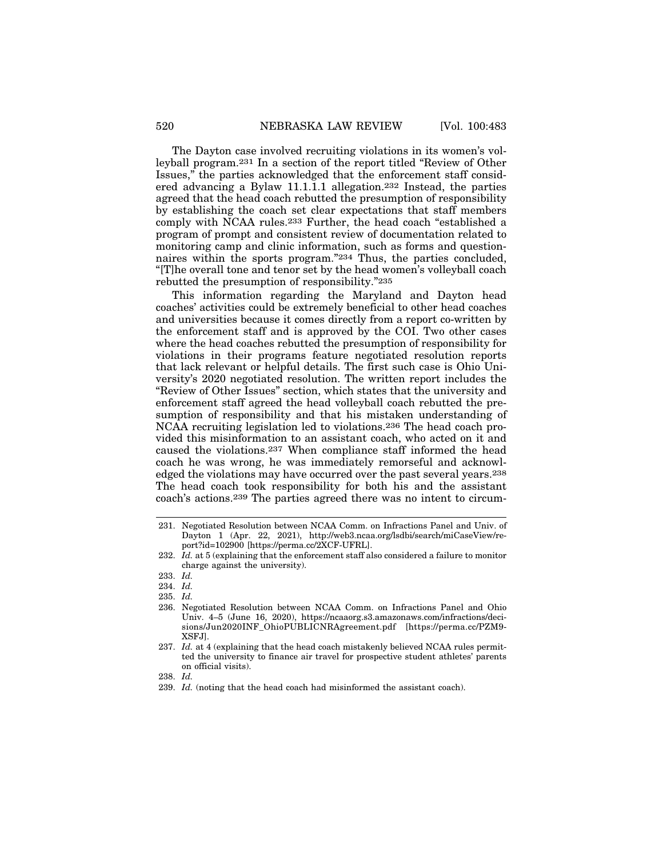The Dayton case involved recruiting violations in its women's volleyball program.231 In a section of the report titled "Review of Other Issues," the parties acknowledged that the enforcement staff considered advancing a Bylaw 11.1.1.1 allegation.232 Instead, the parties agreed that the head coach rebutted the presumption of responsibility by establishing the coach set clear expectations that staff members comply with NCAA rules.233 Further, the head coach "established a program of prompt and consistent review of documentation related to monitoring camp and clinic information, such as forms and questionnaires within the sports program."234 Thus, the parties concluded, "[T]he overall tone and tenor set by the head women's volleyball coach rebutted the presumption of responsibility."235

This information regarding the Maryland and Dayton head coaches' activities could be extremely beneficial to other head coaches and universities because it comes directly from a report co-written by the enforcement staff and is approved by the COI. Two other cases where the head coaches rebutted the presumption of responsibility for violations in their programs feature negotiated resolution reports that lack relevant or helpful details. The first such case is Ohio University's 2020 negotiated resolution. The written report includes the "Review of Other Issues" section, which states that the university and enforcement staff agreed the head volleyball coach rebutted the presumption of responsibility and that his mistaken understanding of NCAA recruiting legislation led to violations.236 The head coach provided this misinformation to an assistant coach, who acted on it and caused the violations.237 When compliance staff informed the head coach he was wrong, he was immediately remorseful and acknowledged the violations may have occurred over the past several years.238 The head coach took responsibility for both his and the assistant coach's actions.239 The parties agreed there was no intent to circum-

<sup>231.</sup> Negotiated Resolution between NCAA Comm. on Infractions Panel and Univ. of Dayton 1 (Apr. 22, 2021), http://web3.ncaa.org/lsdbi/search/miCaseView/report?id=102900 [https://perma.cc/2XCF-UFRL].

<sup>232.</sup> *Id.* at 5 (explaining that the enforcement staff also considered a failure to monitor charge against the university).

<sup>233.</sup> *Id.*

<sup>234.</sup> *Id.*

<sup>235.</sup> *Id.*

<sup>236.</sup> Negotiated Resolution between NCAA Comm. on Infractions Panel and Ohio Univ. 4–5 (June 16, 2020), https://ncaaorg.s3.amazonaws.com/infractions/decisions/Jun2020INF\_OhioPUBLICNRAgreement.pdf [https://perma.cc/PZM9- XSFJ].

<sup>237.</sup> *Id.* at 4 (explaining that the head coach mistakenly believed NCAA rules permitted the university to finance air travel for prospective student athletes' parents on official visits).

<sup>238.</sup> *Id.*

<sup>239.</sup> *Id.* (noting that the head coach had misinformed the assistant coach).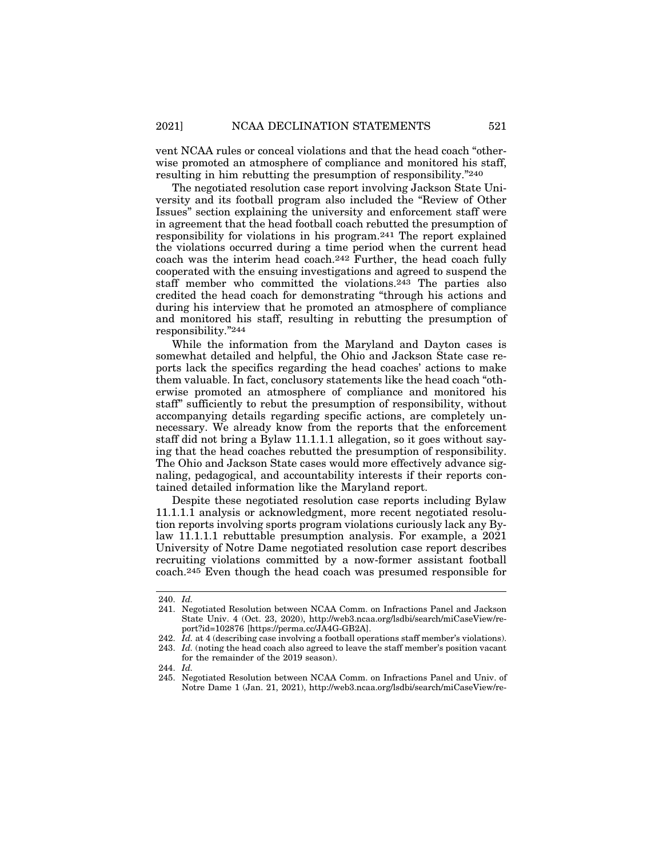vent NCAA rules or conceal violations and that the head coach "otherwise promoted an atmosphere of compliance and monitored his staff, resulting in him rebutting the presumption of responsibility."240

The negotiated resolution case report involving Jackson State University and its football program also included the "Review of Other Issues" section explaining the university and enforcement staff were in agreement that the head football coach rebutted the presumption of responsibility for violations in his program.241 The report explained the violations occurred during a time period when the current head coach was the interim head coach.242 Further, the head coach fully cooperated with the ensuing investigations and agreed to suspend the staff member who committed the violations.243 The parties also credited the head coach for demonstrating "through his actions and during his interview that he promoted an atmosphere of compliance and monitored his staff, resulting in rebutting the presumption of responsibility."244

While the information from the Maryland and Dayton cases is somewhat detailed and helpful, the Ohio and Jackson State case reports lack the specifics regarding the head coaches' actions to make them valuable. In fact, conclusory statements like the head coach "otherwise promoted an atmosphere of compliance and monitored his staff" sufficiently to rebut the presumption of responsibility, without accompanying details regarding specific actions, are completely unnecessary. We already know from the reports that the enforcement staff did not bring a Bylaw 11.1.1.1 allegation, so it goes without saying that the head coaches rebutted the presumption of responsibility. The Ohio and Jackson State cases would more effectively advance signaling, pedagogical, and accountability interests if their reports contained detailed information like the Maryland report.

Despite these negotiated resolution case reports including Bylaw 11.1.1.1 analysis or acknowledgment, more recent negotiated resolution reports involving sports program violations curiously lack any Bylaw 11.1.1.1 rebuttable presumption analysis. For example, a 2021 University of Notre Dame negotiated resolution case report describes recruiting violations committed by a now-former assistant football coach.245 Even though the head coach was presumed responsible for

<sup>240.</sup> *Id.*

<sup>241.</sup> Negotiated Resolution between NCAA Comm. on Infractions Panel and Jackson State Univ. 4 (Oct. 23, 2020), http://web3.ncaa.org/lsdbi/search/miCaseView/report?id=102876 [https://perma.cc/JA4G-GB2A].

<sup>242.</sup> *Id.* at 4 (describing case involving a football operations staff member's violations). 243. *Id.* (noting the head coach also agreed to leave the staff member's position vacant

for the remainder of the 2019 season).

<sup>244.</sup> *Id.*

<sup>245.</sup> Negotiated Resolution between NCAA Comm. on Infractions Panel and Univ. of Notre Dame 1 (Jan. 21, 2021), http://web3.ncaa.org/lsdbi/search/miCaseView/re-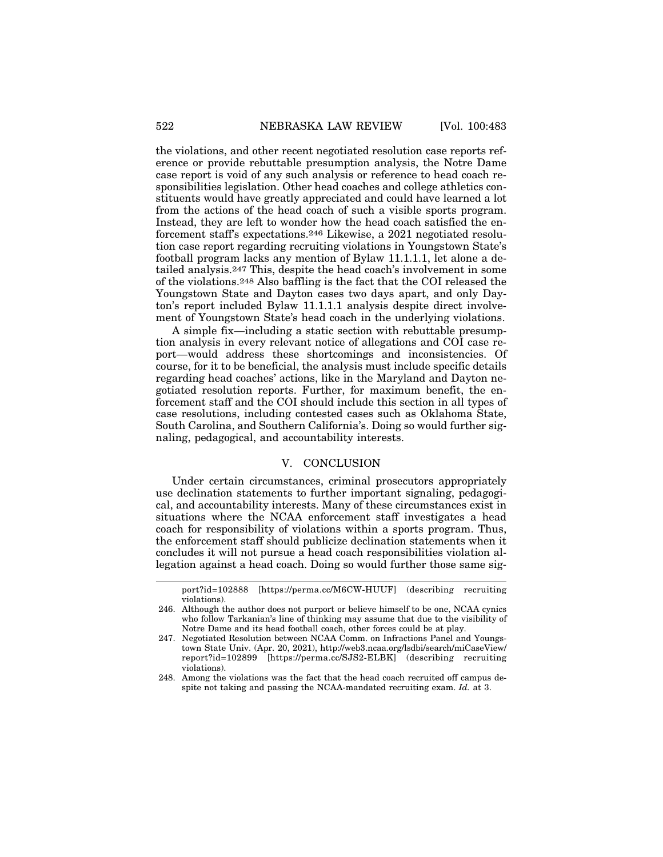the violations, and other recent negotiated resolution case reports reference or provide rebuttable presumption analysis, the Notre Dame case report is void of any such analysis or reference to head coach responsibilities legislation. Other head coaches and college athletics constituents would have greatly appreciated and could have learned a lot from the actions of the head coach of such a visible sports program. Instead, they are left to wonder how the head coach satisfied the enforcement staff's expectations.246 Likewise, a 2021 negotiated resolution case report regarding recruiting violations in Youngstown State's football program lacks any mention of Bylaw 11.1.1.1, let alone a detailed analysis.247 This, despite the head coach's involvement in some of the violations.248 Also baffling is the fact that the COI released the Youngstown State and Dayton cases two days apart, and only Dayton's report included Bylaw 11.1.1.1 analysis despite direct involvement of Youngstown State's head coach in the underlying violations.

A simple fix—including a static section with rebuttable presumption analysis in every relevant notice of allegations and COI case report—would address these shortcomings and inconsistencies. Of course, for it to be beneficial, the analysis must include specific details regarding head coaches' actions, like in the Maryland and Dayton negotiated resolution reports. Further, for maximum benefit, the enforcement staff and the COI should include this section in all types of case resolutions, including contested cases such as Oklahoma State, South Carolina, and Southern California's. Doing so would further signaling, pedagogical, and accountability interests.

# V. CONCLUSION

Under certain circumstances, criminal prosecutors appropriately use declination statements to further important signaling, pedagogical, and accountability interests. Many of these circumstances exist in situations where the NCAA enforcement staff investigates a head coach for responsibility of violations within a sports program. Thus, the enforcement staff should publicize declination statements when it concludes it will not pursue a head coach responsibilities violation allegation against a head coach. Doing so would further those same sig-

port?id=102888 [https://perma.cc/M6CW-HUUF] (describing recruiting violations).

<sup>246.</sup> Although the author does not purport or believe himself to be one, NCAA cynics who follow Tarkanian's line of thinking may assume that due to the visibility of Notre Dame and its head football coach, other forces could be at play.

<sup>247.</sup> Negotiated Resolution between NCAA Comm. on Infractions Panel and Youngstown State Univ. (Apr. 20, 2021), http://web3.ncaa.org/lsdbi/search/miCaseView/ report?id=102899 [https://perma.cc/SJS2-ELBK] (describing recruiting violations).

<sup>248.</sup> Among the violations was the fact that the head coach recruited off campus despite not taking and passing the NCAA-mandated recruiting exam. *Id.* at 3.